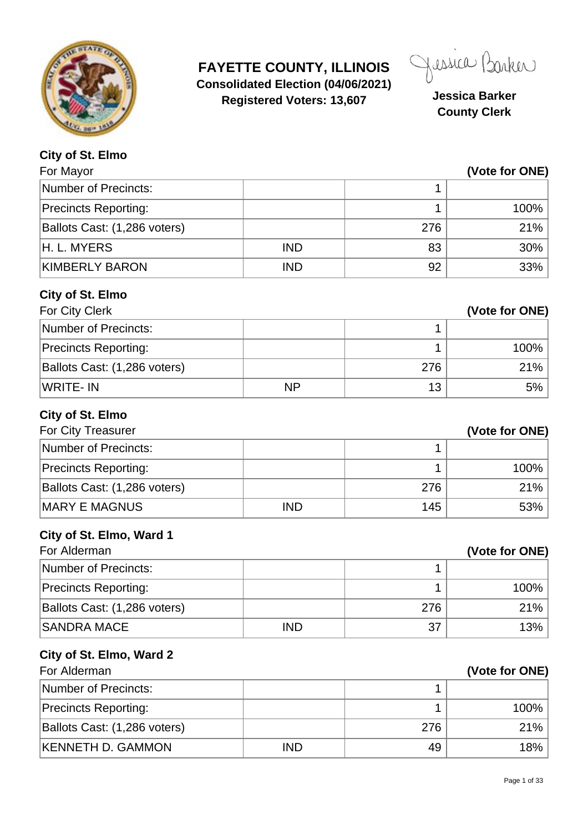

**FAYETTE COUNTY, ILLINOIS Consolidated Election (04/06/2021) Registered Voters: 13,607 Jessica Barker**

Jessica Barker

**County Clerk**

| City of St. Elmo                         |            |     |                |
|------------------------------------------|------------|-----|----------------|
| For Mayor                                |            |     | (Vote for ONE) |
| Number of Precincts:                     |            | 1   |                |
| <b>Precincts Reporting:</b>              |            | 1   | 100%           |
| Ballots Cast: (1,286 voters)             |            | 276 | 21%            |
| H. L. MYERS                              | <b>IND</b> | 83  | 30%            |
| <b>KIMBERLY BARON</b>                    | <b>IND</b> | 92  | 33%            |
| City of St. Elmo                         |            |     |                |
| For City Clerk                           |            |     | (Vote for ONE) |
| <b>Number of Precincts:</b>              |            | 1   |                |
| <b>Precincts Reporting:</b>              |            | 1   | 100%           |
| Ballots Cast: (1,286 voters)             |            | 276 | 21%            |
| <b>WRITE-IN</b>                          | <b>NP</b>  | 13  | 5%             |
| City of St. Elmo<br>For City Treasurer   |            |     | (Vote for ONE) |
| <b>Number of Precincts:</b>              |            | 1   |                |
| <b>Precincts Reporting:</b>              |            | 1   | 100%           |
| Ballots Cast: (1,286 voters)             |            | 276 | 21%            |
| <b>MARY E MAGNUS</b>                     | <b>IND</b> | 145 | 53%            |
| City of St. Elmo, Ward 1<br>For Alderman |            |     | (Vote for ONE) |
| <b>Number of Precincts:</b>              |            | 1   |                |
| <b>Precincts Reporting:</b>              |            | 1   | 100%           |
| Ballots Cast: (1,286 voters)             |            | 276 | 21%            |
| <b>SANDRA MACE</b>                       | <b>IND</b> | 37  | 13%            |
| City of St. Elmo, Ward 2                 |            |     |                |
| For Alderman                             |            |     | (Vote for ONE) |
| <b>Number of Precincts:</b>              |            | 1   |                |
| <b>Precincts Reporting:</b>              |            | 1   | 100%           |
| Ballots Cast: (1,286 voters)             |            | 276 | 21%            |
| <b>KENNETH D. GAMMON</b>                 | <b>IND</b> | 49  | 18%            |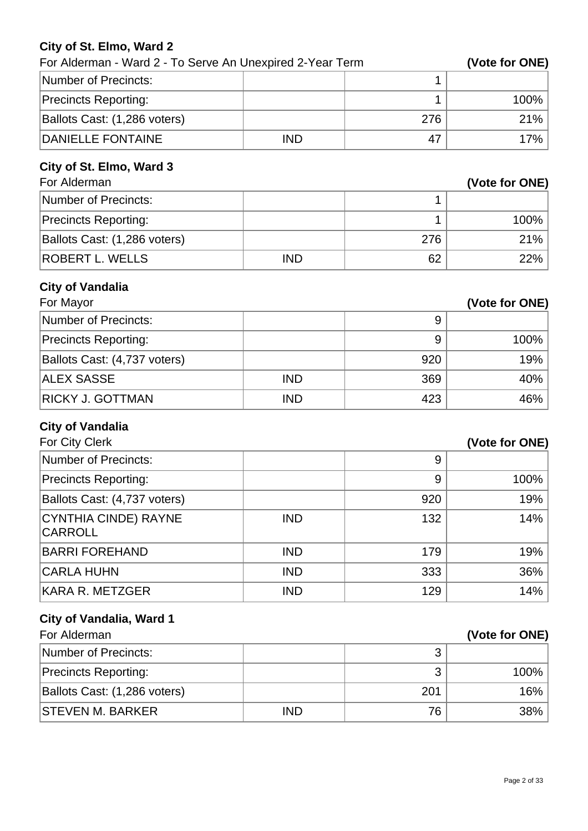#### **City of St. Elmo, Ward 2**

| For Alderman - Ward 2 - To Serve An Unexpired 2-Year Term |            |     | (Vote for ONE) |
|-----------------------------------------------------------|------------|-----|----------------|
| <b>Number of Precincts:</b>                               |            | 1   |                |
| <b>Precincts Reporting:</b>                               |            | 1   | 100%           |
| Ballots Cast: (1,286 voters)                              |            | 276 | 21%            |
| <b>DANIELLE FONTAINE</b>                                  | <b>IND</b> | 47  | 17%            |
| City of St. Elmo, Ward 3                                  |            |     |                |
| For Alderman                                              |            |     | (Vote for ONE) |
| <b>Number of Precincts:</b>                               |            | 1   |                |
| <b>Precincts Reporting:</b>                               |            | 1   | 100%           |
| Ballots Cast: (1,286 voters)                              |            | 276 | 21%            |
| <b>ROBERT L. WELLS</b>                                    | <b>IND</b> | 62  | 22%            |
| <b>City of Vandalia</b>                                   |            |     |                |
| For Mayor                                                 |            |     | (Vote for ONE) |
| <b>Number of Precincts:</b>                               |            | 9   |                |
| <b>Precincts Reporting:</b>                               |            | 9   | 100%           |
| Ballots Cast: (4,737 voters)                              |            | 920 | 19%            |
| <b>ALEX SASSE</b>                                         | <b>IND</b> | 369 | 40%            |
| RICKY J. GOTTMAN                                          | <b>IND</b> | 423 | 46%            |
| <b>City of Vandalia</b>                                   |            |     |                |
| For City Clerk                                            |            |     | (Vote for ONE) |
| <b>Number of Precincts:</b>                               |            | 9   |                |
| <b>Precincts Reporting:</b>                               |            | 9   | 100%           |
| Ballots Cast: (4,737 voters)                              |            | 920 | 19%            |
| <b>CYNTHIA CINDE) RAYNE</b><br><b>CARROLL</b>             | <b>IND</b> | 132 | 14%            |
| <b>BARRI FOREHAND</b>                                     | <b>IND</b> | 179 | 19%            |
| <b>CARLA HUHN</b>                                         | <b>IND</b> | 333 | 36%            |
| <b>KARA R. METZGER</b>                                    | <b>IND</b> | 129 | 14%            |
| <b>City of Vandalia, Ward 1</b>                           |            |     |                |
| For Alderman                                              |            |     | (Vote for ONE) |
| <b>Number of Precincts:</b>                               |            | 3   |                |
| <b>Precincts Reporting:</b>                               |            | 3   | 100%           |
| Ballots Cast: (1,286 voters)                              |            | 201 | 16%            |
| <b>STEVEN M. BARKER</b>                                   | <b>IND</b> | 76  | 38%            |
|                                                           |            |     |                |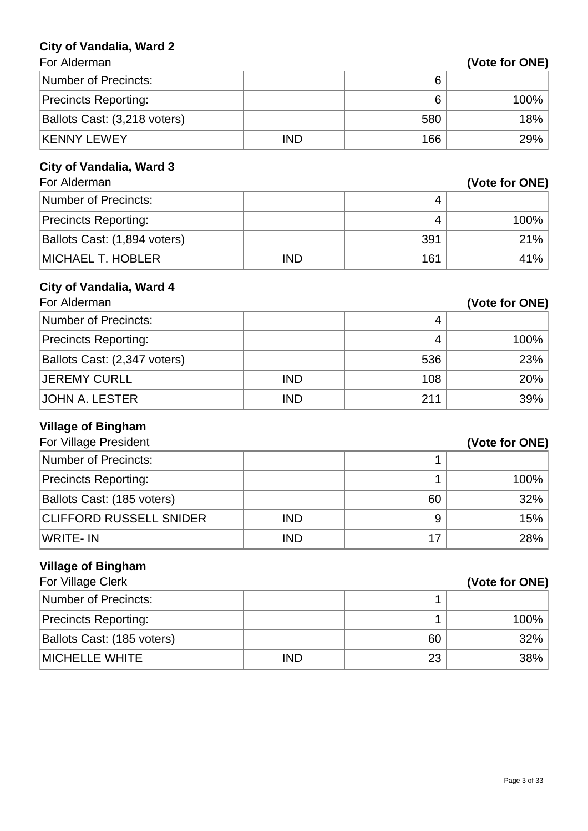#### **City of Vandalia, Ward 2**

| (Vote for ONE) |  |
|----------------|--|
|----------------|--|

| For Alderman                    |            |     | (Vote for ONE) |
|---------------------------------|------------|-----|----------------|
| <b>Number of Precincts:</b>     |            | 6   |                |
| <b>Precincts Reporting:</b>     |            | 6   | 100%           |
| Ballots Cast: (3,218 voters)    |            | 580 | 18%            |
| <b>KENNY LEWEY</b>              | <b>IND</b> | 166 | 29%            |
| <b>City of Vandalia, Ward 3</b> |            |     |                |
| For Alderman                    |            |     | (Vote for ONE) |
| <b>Number of Precincts:</b>     |            | 4   |                |
| <b>Precincts Reporting:</b>     |            | 4   | 100%           |
| Ballots Cast: (1,894 voters)    |            | 391 | 21%            |
| <b>MICHAEL T. HOBLER</b>        | <b>IND</b> | 161 | 41%            |
| <b>City of Vandalia, Ward 4</b> |            |     |                |
| For Alderman                    |            |     | (Vote for ONE) |
| <b>Number of Precincts:</b>     |            | 4   |                |
| <b>Precincts Reporting:</b>     |            | 4   | 100%           |
| Ballots Cast: (2,347 voters)    |            | 536 | 23%            |
| <b>JEREMY CURLL</b>             | <b>IND</b> | 108 | 20%            |
| <b>JOHN A. LESTER</b>           | <b>IND</b> | 211 | 39%            |
| <b>Village of Bingham</b>       |            |     |                |
| For Village President           |            |     | (Vote for ONE) |
| <b>Number of Precincts:</b>     |            | 1   |                |
| <b>Precincts Reporting:</b>     |            | 1   | 100%           |
| Ballots Cast: (185 voters)      |            | 60  | 32%            |
| <b>CLIFFORD RUSSELL SNIDER</b>  | <b>IND</b> | 9   | 15%            |
| <b>WRITE-IN</b>                 | <b>IND</b> | 17  | 28%            |
| <b>Village of Bingham</b>       |            |     |                |
| For Village Clerk               |            |     | (Vote for ONE) |
| <b>Number of Precincts:</b>     |            | 1   |                |
| <b>Precincts Reporting:</b>     |            | 1   | 100%           |
| Ballots Cast: (185 voters)      |            | 60  | 32%            |

MICHELLE WHITE **IND** IND 23 38%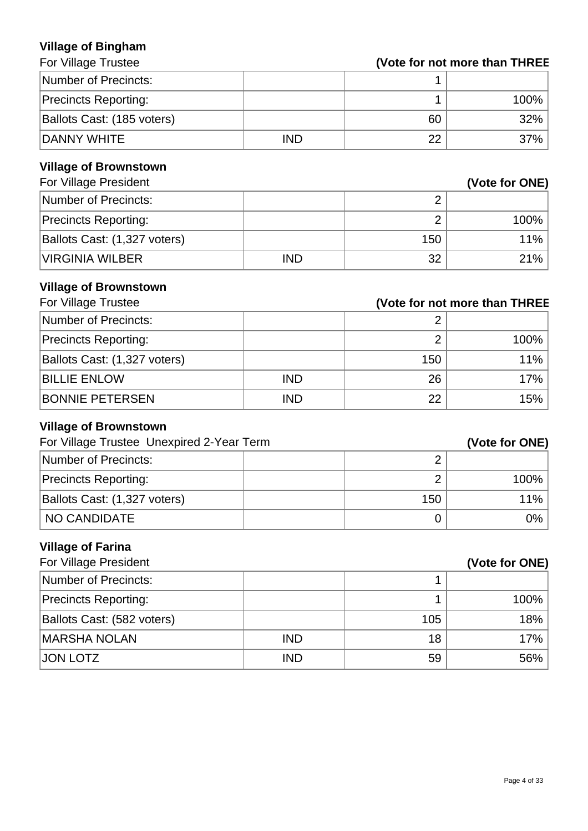#### **Village of Bingham For Village Trustee**

| Number of Precincts:        |            |    |         |
|-----------------------------|------------|----|---------|
| <b>Precincts Reporting:</b> |            |    | $100\%$ |
| Ballots Cast: (185 voters)  |            | 60 | $32\%$  |
| DANNY WHITE                 | <b>IND</b> | 22 | $37\%$  |

#### **Village of Brownstown**

| For Village President        |            | (Vote for ONE) |         |
|------------------------------|------------|----------------|---------|
| Number of Precincts:         |            |                |         |
| <b>Precincts Reporting:</b>  |            |                | $100\%$ |
| Ballots Cast: (1,327 voters) |            | 150            | $11\%$  |
| <b>VIRGINIA WILBER</b>       | <b>IND</b> | 32             | 21%     |

#### **Village of Brownstown**

| For Village Trustee          |            | (Vote for not more than THREE |      |
|------------------------------|------------|-------------------------------|------|
| Number of Precincts:         |            |                               |      |
| <b>Precincts Reporting:</b>  |            |                               | 100% |
| Ballots Cast: (1,327 voters) |            | 150                           | 11%  |
| <b>BILLIE ENLOW</b>          | <b>IND</b> | 26                            | 17%  |
| <b>BONNIE PETERSEN</b>       | <b>IND</b> | 22                            | 15%  |

#### **Village of Brownstown**

| For Village Trustee Unexpired 2-Year Term |     | (Vote for ONE) |
|-------------------------------------------|-----|----------------|
| Number of Precincts:                      |     |                |
| <b>Precincts Reporting:</b>               |     | $100\%$        |
| Ballots Cast: (1,327 voters)              | 150 | $11\%$         |
| NO CANDIDATE                              |     | $0\%$          |

#### **Village of Farina**

| For Village President       |            | (Vote for ONE) |        |
|-----------------------------|------------|----------------|--------|
| Number of Precincts:        |            |                |        |
| <b>Precincts Reporting:</b> |            |                | 100%   |
| Ballots Cast: (582 voters)  |            | 105            | 18%    |
| <b>MARSHA NOLAN</b>         | <b>IND</b> | 18             | 17%    |
| <b>JON LOTZ</b>             | <b>IND</b> | 59             | $56\%$ |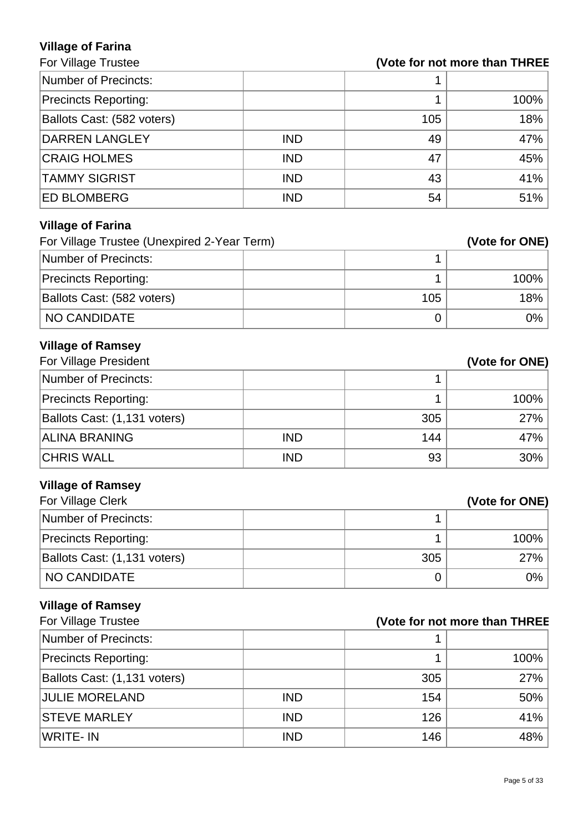# **Village of Farina**

# **(Vote for not more than THREE**

| Number of Precincts:        |            |     |      |
|-----------------------------|------------|-----|------|
| <b>Precincts Reporting:</b> |            |     | 100% |
| Ballots Cast: (582 voters)  |            | 105 | 18%  |
| <b>DARREN LANGLEY</b>       | <b>IND</b> | 49  | 47%  |
| <b>CRAIG HOLMES</b>         | <b>IND</b> | 47  | 45%  |
| <b>TAMMY SIGRIST</b>        | <b>IND</b> | 43  | 41%  |
| <b>ED BLOMBERG</b>          | <b>IND</b> | 54  | 51%  |
| <b>Village of Farina</b>    |            |     |      |

| For Village Trustee (Unexpired 2-Year Term) |     | (Vote for ONE) |
|---------------------------------------------|-----|----------------|
| Number of Precincts:                        |     |                |
| <b>Precincts Reporting:</b>                 |     | $100\%$        |
| Ballots Cast: (582 voters)                  | 105 | 18%            |
| NO CANDIDATE                                |     | 0%             |

# **Village of Ramsey**

| For Village President        |            |     | (Vote for ONE) |
|------------------------------|------------|-----|----------------|
| Number of Precincts:         |            |     |                |
| <b>Precincts Reporting:</b>  |            |     | 100%           |
| Ballots Cast: (1,131 voters) |            | 305 | 27%            |
| <b>ALINA BRANING</b>         | <b>IND</b> | 144 | 47%            |
| <b>CHRIS WALL</b>            | <b>IND</b> | 93  | 30%            |

# **Village of Ramsey**

| For Village Clerk            |     | (Vote for ONE) |
|------------------------------|-----|----------------|
| Number of Precincts:         |     |                |
| <b>Precincts Reporting:</b>  |     | 100%           |
| Ballots Cast: (1,131 voters) | 305 | 27%            |
| NO CANDIDATE                 |     | 0%             |

# **Village of Ramsey**

| For Village Trustee          | (Vote for not more than THREE |     |      |
|------------------------------|-------------------------------|-----|------|
| Number of Precincts:         |                               |     |      |
| <b>Precincts Reporting:</b>  |                               |     | 100% |
| Ballots Cast: (1,131 voters) |                               | 305 | 27%  |
| <b>JULIE MORELAND</b>        | <b>IND</b>                    | 154 | 50%  |
| <b>STEVE MARLEY</b>          | <b>IND</b>                    | 126 | 41%  |
| WRITE- IN                    | <b>IND</b>                    | 146 | 48%  |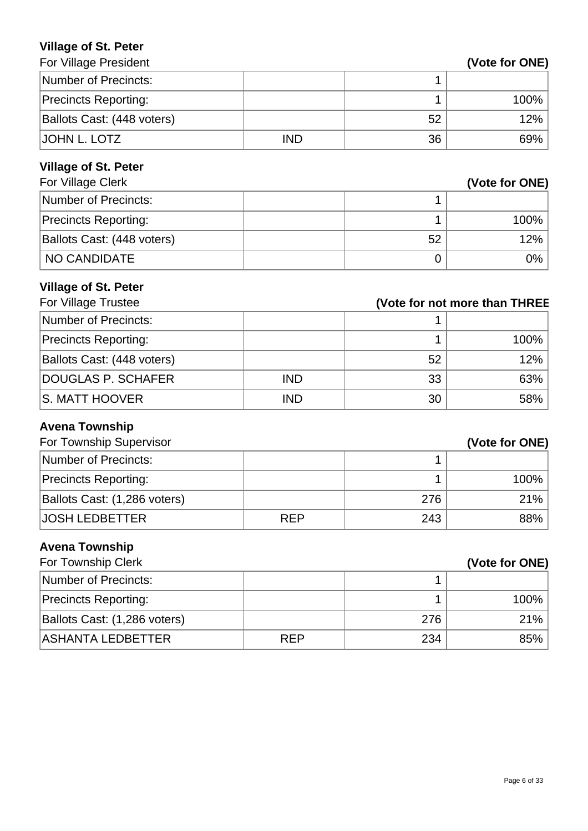#### **Village of St. Peter**

| <b>For Village President</b> |            |    | (Vote for ONE) |
|------------------------------|------------|----|----------------|
| Number of Precincts:         |            |    |                |
| <b>Precincts Reporting:</b>  |            |    | $100\%$        |
| Ballots Cast: (448 voters)   |            | 52 | 12%            |
| IJOHN L. LOTZ                | <b>IND</b> | 36 | $69\%$         |

# **Village of St. Peter**

| For Village Clerk           |    | (Vote for ONE) |
|-----------------------------|----|----------------|
| Number of Precincts:        |    |                |
| <b>Precincts Reporting:</b> |    | 100%           |
| Ballots Cast: (448 voters)  | 52 | 12%            |
| NO CANDIDATE                |    | 0%             |

# **Village of St. Peter**

| For Village Trustee         | (Vote for not more than THREE |    |      |
|-----------------------------|-------------------------------|----|------|
| Number of Precincts:        |                               |    |      |
| <b>Precincts Reporting:</b> |                               |    | 100% |
| Ballots Cast: (448 voters)  |                               | 52 | 12%  |
| DOUGLAS P. SCHAFER          | <b>IND</b>                    | 33 | 63%  |
| IS. MATT HOOVER             | <b>IND</b>                    | 30 | 58%  |

# **Avena Township**

| For Township Supervisor      |            |     | (Vote for ONE) |
|------------------------------|------------|-----|----------------|
| Number of Precincts:         |            |     |                |
| <b>Precincts Reporting:</b>  |            |     | $100\%$        |
| Ballots Cast: (1,286 voters) |            | 276 | 21%            |
| <b>JOSH LEDBETTER</b>        | <b>REP</b> | 243 | $88\%$         |

# **Avena Township**

| For Township Clerk           |            |     | (Vote for ONE) |
|------------------------------|------------|-----|----------------|
| Number of Precincts:         |            |     |                |
| <b>Precincts Reporting:</b>  |            |     | 100%           |
| Ballots Cast: (1,286 voters) |            | 276 | 21%            |
| <b>ASHANTA LEDBETTER</b>     | <b>REP</b> | 234 | 85%            |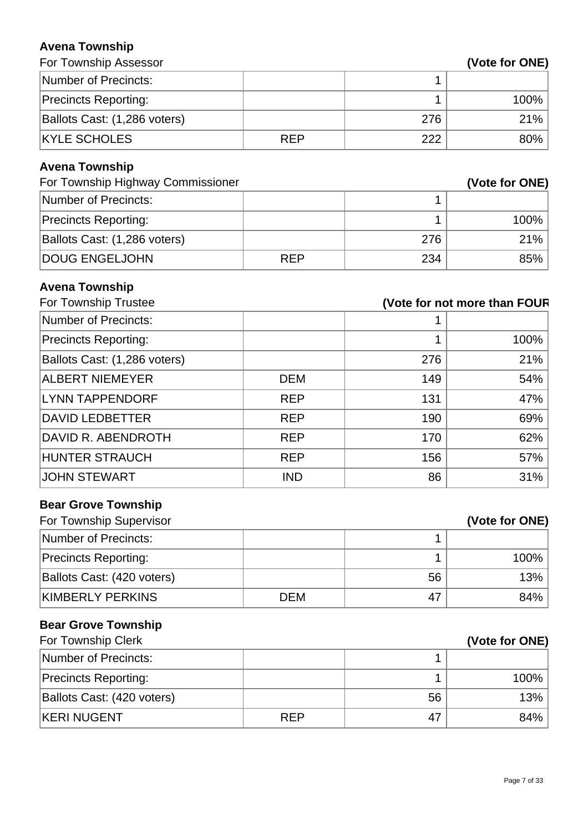#### **Avena Township**

| <b>AVGHA LUWHSHIP</b>             |            |                              |                |
|-----------------------------------|------------|------------------------------|----------------|
| For Township Assessor             |            |                              | (Vote for ONE) |
| <b>Number of Precincts:</b>       |            | 1                            |                |
| <b>Precincts Reporting:</b>       |            | 1                            | 100%           |
| Ballots Cast: (1,286 voters)      |            | 276                          | 21%            |
| <b>KYLE SCHOLES</b>               | <b>REP</b> | 222                          | 80%            |
| <b>Avena Township</b>             |            |                              |                |
| For Township Highway Commissioner |            |                              | (Vote for ONE) |
| <b>Number of Precincts:</b>       |            | 1                            |                |
| <b>Precincts Reporting:</b>       |            | 1                            | 100%           |
| Ballots Cast: (1,286 voters)      |            | 276                          | 21%            |
| <b>DOUG ENGELJOHN</b>             | <b>REP</b> | 234                          | 85%            |
| <b>Avena Township</b>             |            |                              |                |
| For Township Trustee              |            | (Vote for not more than FOUR |                |
| <b>Number of Precincts:</b>       |            |                              |                |
| <b>Precincts Reporting:</b>       |            | 1                            | 100%           |
| Ballots Cast: (1,286 voters)      |            | 276                          | 21%            |
| <b>ALBERT NIEMEYER</b>            | <b>DEM</b> | 149                          | 54%            |
| <b>LYNN TAPPENDORF</b>            | <b>REP</b> | 131                          | 47%            |
| <b>DAVID LEDBETTER</b>            | <b>REP</b> | 190                          | 69%            |
| DAVID R. ABENDROTH                | <b>REP</b> | 170                          | 62%            |
| <b>HUNTER STRAUCH</b>             | <b>REP</b> | 156                          | 57%            |
| <b>JOHN STEWART</b>               | <b>IND</b> | 86                           | 31%            |
| <b>Bear Grove Township</b>        |            |                              |                |
| For Township Supervisor           |            |                              | (Vote for ONE) |
| <b>Number of Precincts:</b>       |            | 1                            |                |
| <b>Precincts Reporting:</b>       |            | 1                            | 100%           |
| Ballots Cast: (420 voters)        |            | 56                           | 13%            |
| <b>KIMBERLY PERKINS</b>           | <b>DEM</b> | 47                           | 84%            |
| <b>Bear Grove Township</b>        |            |                              |                |
| For Township Clerk                |            |                              | (Vote for ONE) |
| <b>Number of Precincts:</b>       |            | 1                            |                |
| <b>Precincts Reporting:</b>       |            | 1                            | 100%           |

Ballots Cast: (420 voters) 66 13% KERI NUGENT REP 47 84%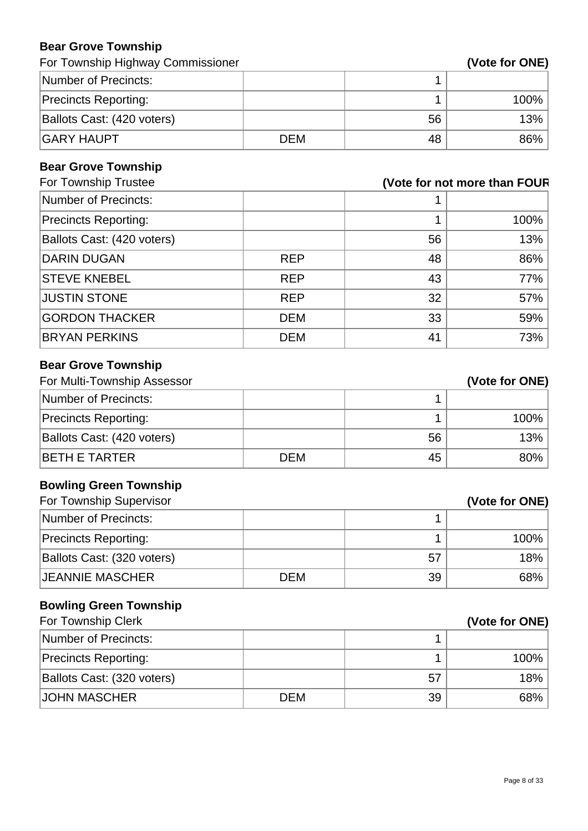#### **Bear Grove Township**

For Township Highway Commissioner **(Vote for ONE)** 

| Number of Precincts:        |            |    |         |
|-----------------------------|------------|----|---------|
| <b>Precincts Reporting:</b> |            |    | $100\%$ |
| Ballots Cast: (420 voters)  |            | 56 | 13%     |
| <b>GARY HAUPT</b>           | <b>DEM</b> | 48 | $86\%$  |

#### **Bear Grove Township**

| For Township Trustee        |            |    | (Vote for not more than FOUR |
|-----------------------------|------------|----|------------------------------|
| Number of Precincts:        |            |    |                              |
| <b>Precincts Reporting:</b> |            |    | 100%                         |
| Ballots Cast: (420 voters)  |            | 56 | 13%                          |
| <b>DARIN DUGAN</b>          | <b>REP</b> | 48 | 86%                          |
| <b>STEVE KNEBEL</b>         | <b>REP</b> | 43 | 77%                          |
| <b>JUSTIN STONE</b>         | <b>REP</b> | 32 | 57%                          |
| <b>GORDON THACKER</b>       | <b>DEM</b> | 33 | 59%                          |
| <b>BRYAN PERKINS</b>        | <b>DEM</b> | 41 | 73%                          |

# **Bear Grove Township**

| For Multi-Township Assessor |            | (Vote for ONE) |      |
|-----------------------------|------------|----------------|------|
| Number of Precincts:        |            |                |      |
| <b>Precincts Reporting:</b> |            |                | 100% |
| Ballots Cast: (420 voters)  |            | 56             | 13%  |
| <b>BETH E TARTER</b>        | <b>DEM</b> | 45             | 80%  |

# **Bowling Green Township**

| For Township Supervisor     |     |    | (Vote for ONE) |
|-----------------------------|-----|----|----------------|
| Number of Precincts:        |     |    |                |
| <b>Precincts Reporting:</b> |     |    | 100%           |
| Ballots Cast: (320 voters)  |     | 57 | 18%            |
| <b>JEANNIE MASCHER</b>      | DEM | 39 | 68%            |

# **Bowling Green Township**

| For Township Clerk          |            |    | (Vote for ONE) |
|-----------------------------|------------|----|----------------|
| Number of Precincts:        |            |    |                |
| <b>Precincts Reporting:</b> |            |    | 100%           |
| Ballots Cast: (320 voters)  |            | 57 | 18%            |
| <b>JOHN MASCHER</b>         | <b>DEM</b> | 39 | 68%            |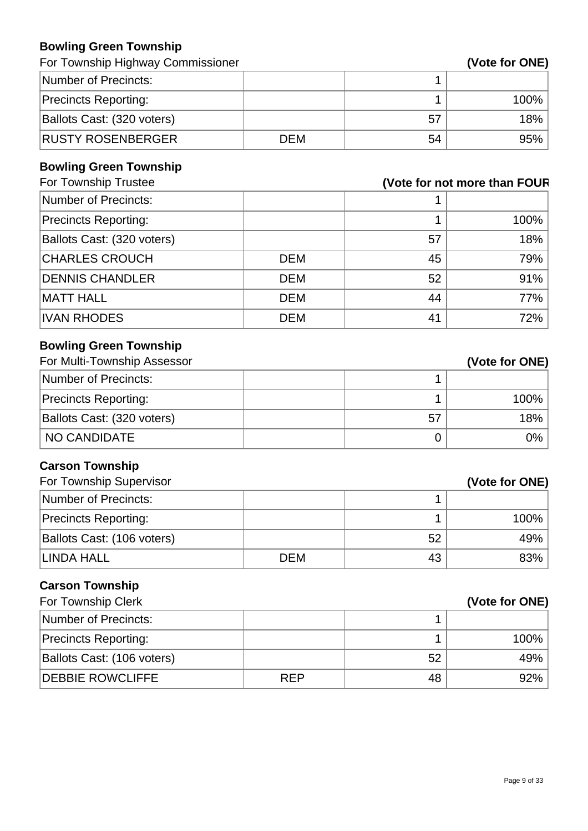#### **Bowling Green Township**

For Township Highway Commissioner **(Vote for ONE)** 

| Number of Precincts:        |            |    |         |
|-----------------------------|------------|----|---------|
| <b>Precincts Reporting:</b> |            |    | $100\%$ |
| Ballots Cast: (320 voters)  |            | 57 | 18%     |
| <b>RUSTY ROSENBERGER</b>    | <b>DEM</b> | 54 | 95%     |

#### **Bowling Green Township**

| For Township Trustee        |            |    | (Vote for not more than FOUR |
|-----------------------------|------------|----|------------------------------|
| Number of Precincts:        |            |    |                              |
| <b>Precincts Reporting:</b> |            |    | 100%                         |
| Ballots Cast: (320 voters)  |            | 57 | 18%                          |
| <b>CHARLES CROUCH</b>       | <b>DEM</b> | 45 | 79%                          |
| <b>DENNIS CHANDLER</b>      | <b>DEM</b> | 52 | 91%                          |
| <b>MATT HALL</b>            | <b>DEM</b> | 44 | 77%                          |
| <b>IVAN RHODES</b>          | <b>DEM</b> | 41 | 72%                          |

# **Bowling Green Township**

| For Multi-Township Assessor |    | (Vote for ONE) |
|-----------------------------|----|----------------|
| Number of Precincts:        |    |                |
| <b>Precincts Reporting:</b> |    | 100%           |
| Ballots Cast: (320 voters)  | 57 | 18%            |
| NO CANDIDATE                |    | $0\%$          |

# **Carson Township**

| For Township Supervisor     |            |    | (Vote for ONE) |
|-----------------------------|------------|----|----------------|
| Number of Precincts:        |            |    |                |
| <b>Precincts Reporting:</b> |            |    | $100\%$        |
| Ballots Cast: (106 voters)  |            | 52 | 49%            |
| <b>LINDA HALL</b>           | <b>DEM</b> | 43 | 83%            |

# **Carson Township**

| For Township Clerk          |            |    | (Vote for ONE) |
|-----------------------------|------------|----|----------------|
| Number of Precincts:        |            |    |                |
| <b>Precincts Reporting:</b> |            |    | 100%           |
| Ballots Cast: (106 voters)  |            | 52 | 49%            |
| <b>DEBBIE ROWCLIFFE</b>     | <b>REP</b> | 48 | 92%            |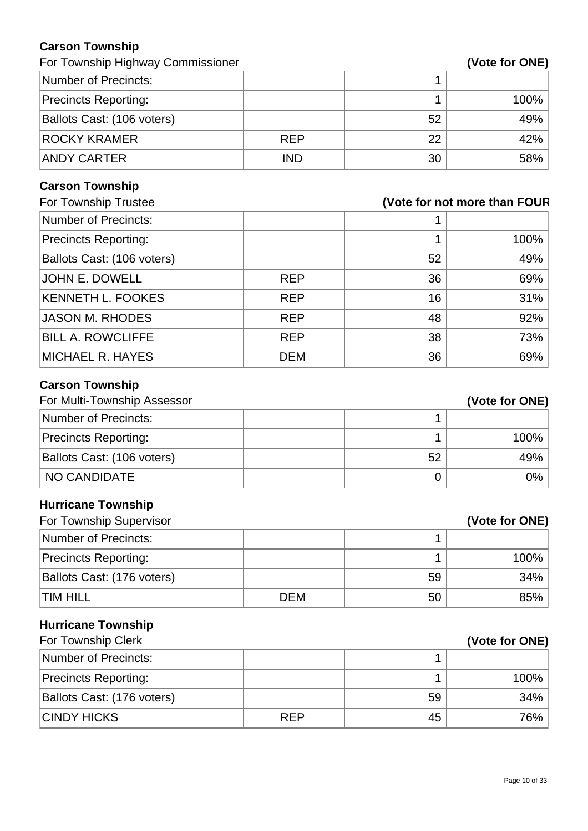#### **Carson Township**

For Township Highway Commissioner **(Vote for ONE)** 

| Number of Precincts:        |            |    |      |
|-----------------------------|------------|----|------|
| <b>Precincts Reporting:</b> |            |    | 100% |
| Ballots Cast: (106 voters)  |            | 52 | 49%  |
| <b>ROCKY KRAMER</b>         | <b>REP</b> | 22 | 42%  |
| <b>ANDY CARTER</b>          | <b>IND</b> | 30 | 58%  |

# **Carson Township**

|            |    | (Vote for not more than FOUR |
|------------|----|------------------------------|
|            |    |                              |
|            |    | 100%                         |
|            | 52 | 49%                          |
| <b>REP</b> | 36 | 69%                          |
| <b>REP</b> | 16 | 31%                          |
| <b>REP</b> | 48 | 92%                          |
| <b>REP</b> | 38 | 73%                          |
| <b>DEM</b> | 36 | 69%                          |
|            |    |                              |

# **Carson Township**

| For Multi-Township Assessor |    | (Vote for ONE) |
|-----------------------------|----|----------------|
| Number of Precincts:        |    |                |
| <b>Precincts Reporting:</b> |    | $100\%$        |
| Ballots Cast: (106 voters)  | 52 | 49%            |
| I NO CANDIDATE              |    | 0%             |

# **Hurricane Township**

| For Township Supervisor     |            |    | (Vote for ONE) |
|-----------------------------|------------|----|----------------|
| Number of Precincts:        |            |    |                |
| <b>Precincts Reporting:</b> |            |    | $100\%$        |
| Ballots Cast: (176 voters)  |            | 59 | $34\%$         |
| <b>TIM HILL</b>             | <b>DEM</b> | 50 | $85\%$         |

# **Hurricane Township**

| For Township Clerk          |            |    | (Vote for ONE) |
|-----------------------------|------------|----|----------------|
| Number of Precincts:        |            |    |                |
| <b>Precincts Reporting:</b> |            |    | 100%           |
| Ballots Cast: (176 voters)  |            | 59 | 34%            |
| <b>CINDY HICKS</b>          | <b>REP</b> | 45 | 76%            |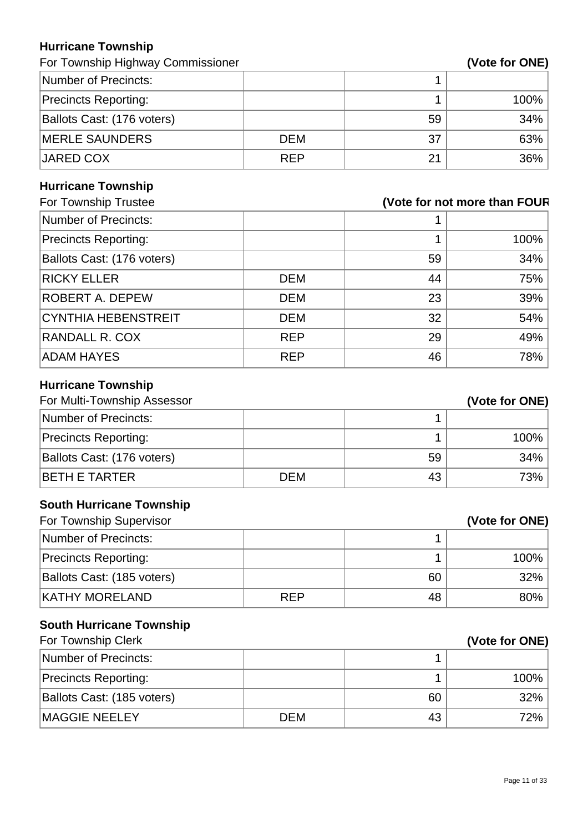#### **Hurricane Township**

For Township Highway Commissioner **(Vote 6)** and  $\mathbf{V}$ 

| Vote for ONE) |  |
|---------------|--|
|---------------|--|

| Number of Precincts:        |            |    |      |
|-----------------------------|------------|----|------|
| <b>Precincts Reporting:</b> |            |    | 100% |
| Ballots Cast: (176 voters)  |            | 59 | 34%  |
| <b>MERLE SAUNDERS</b>       | <b>DEM</b> | 37 | 63%  |
| JARED COX                   | <b>REP</b> | 21 | 36%  |

# **Hurricane Township**

| For Township Trustee<br>(Vote for not more than FOUR |    |      |
|------------------------------------------------------|----|------|
|                                                      |    |      |
|                                                      |    | 100% |
|                                                      | 59 | 34%  |
| DEM                                                  | 44 | 75%  |
| <b>DEM</b>                                           | 23 | 39%  |
| DEM                                                  | 32 | 54%  |
| <b>REP</b>                                           | 29 | 49%  |
| <b>REP</b>                                           | 46 | 78%  |
|                                                      |    |      |

# **Hurricane Township**

| For Multi-Township Assessor |            |    | (Vote for ONE) |
|-----------------------------|------------|----|----------------|
| Number of Precincts:        |            |    |                |
| <b>Precincts Reporting:</b> |            |    | 100%           |
| Ballots Cast: (176 voters)  |            | 59 | 34%            |
| <b>BETH E TARTER</b>        | <b>DEM</b> | 43 | 73%            |

# **South Hurricane Township**

| For Township Supervisor     |            |    | (Vote for ONE) |
|-----------------------------|------------|----|----------------|
| Number of Precincts:        |            |    |                |
| <b>Precincts Reporting:</b> |            |    | $100\%$        |
| Ballots Cast: (185 voters)  |            | 60 | $32\%$         |
| <b>KATHY MORELAND</b>       | <b>RFP</b> | 48 | $80\%$         |

# **South Hurricane Township**

| For Township Clerk          |            | (Vote for ONE) |      |
|-----------------------------|------------|----------------|------|
| Number of Precincts:        |            |                |      |
| <b>Precincts Reporting:</b> |            |                | 100% |
| Ballots Cast: (185 voters)  |            | 60             | 32%  |
| <b>MAGGIE NEELEY</b>        | <b>DEM</b> | 43             | 72%  |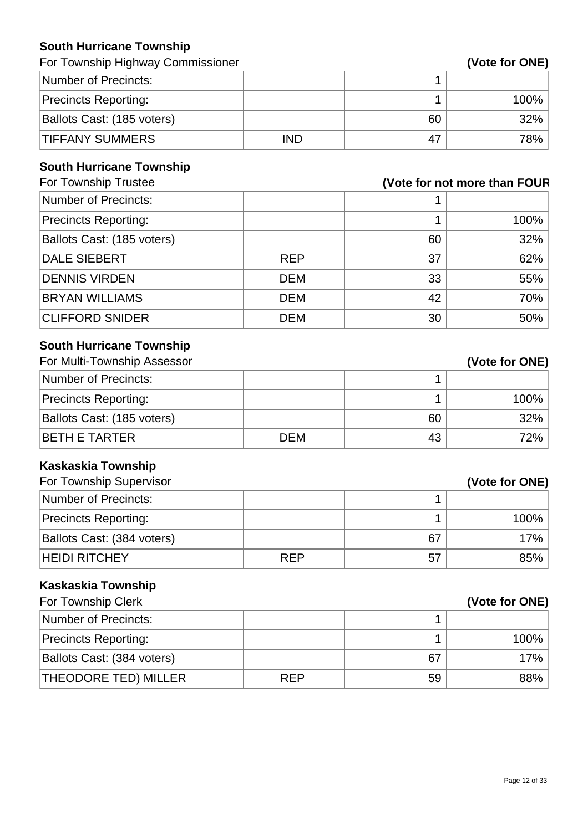#### **South Hurricane Township**

| For Township Highway Commissioner |            |    | (Vote for ONE) |
|-----------------------------------|------------|----|----------------|
| Number of Precincts:              |            |    |                |
| <b>Precincts Reporting:</b>       |            |    | $100\%$        |
| Ballots Cast: (185 voters)        |            | 60 | $32\%$         |
| <b>TIFFANY SUMMERS</b>            | <b>IND</b> | 47 | 78%            |

# **South Hurricane Township**

| For Township Trustee        | (Vote for not more than FOUR |    |      |
|-----------------------------|------------------------------|----|------|
| Number of Precincts:        |                              |    |      |
| <b>Precincts Reporting:</b> |                              |    | 100% |
| Ballots Cast: (185 voters)  |                              | 60 | 32%  |
| DALE SIEBERT                | <b>REP</b>                   | 37 | 62%  |
| <b>DENNIS VIRDEN</b>        | <b>DEM</b>                   | 33 | 55%  |
| <b>BRYAN WILLIAMS</b>       | <b>DEM</b>                   | 42 | 70%  |
| <b>CLIFFORD SNIDER</b>      | <b>DEM</b>                   | 30 | 50%  |

# **South Hurricane Township**

| For Multi-Township Assessor |            |    | (Vote for ONE) |
|-----------------------------|------------|----|----------------|
| Number of Precincts:        |            |    |                |
| <b>Precincts Reporting:</b> |            |    | 100%           |
| Ballots Cast: (185 voters)  |            | 60 | 32%            |
| IBETH E TARTER              | <b>DEM</b> | 43 | 72%            |

# **Kaskaskia Township**

| For Township Supervisor     |            |    | (Vote for ONE) |
|-----------------------------|------------|----|----------------|
| Number of Precincts:        |            |    |                |
| <b>Precincts Reporting:</b> |            |    | $100\%$        |
| Ballots Cast: (384 voters)  |            | 67 | 17%            |
| <b>HEIDI RITCHEY</b>        | <b>REP</b> | 57 | $85\%$         |

# **Kaskaskia Township**

| For Township Clerk          |            |    | (Vote for ONE) |
|-----------------------------|------------|----|----------------|
| Number of Precincts:        |            |    |                |
| <b>Precincts Reporting:</b> |            |    | 100%           |
| Ballots Cast: (384 voters)  |            | 67 | 17%            |
| THEODORE TED) MILLER        | <b>REP</b> | 59 | 88%            |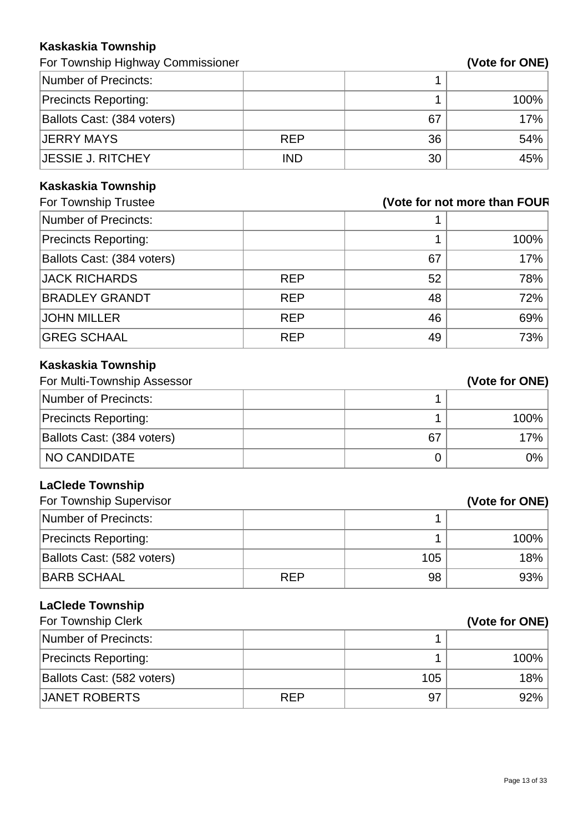#### **Kaskaskia Township**

For Township Highway Commissioner **(Vote for ONE)** 

| Number of Precincts:        |            |    |      |
|-----------------------------|------------|----|------|
| <b>Precincts Reporting:</b> |            |    | 100% |
| Ballots Cast: (384 voters)  |            | 67 | 17%  |
| <b>JERRY MAYS</b>           | <b>REP</b> | 36 | 54%  |
| <b>JESSIE J. RITCHEY</b>    | <b>IND</b> | 30 | 45%  |

# **Kaskaskia Township**

| For Township Trustee        | (Vote for not more than FOUR |    |      |
|-----------------------------|------------------------------|----|------|
| Number of Precincts:        |                              |    |      |
| <b>Precincts Reporting:</b> |                              |    | 100% |
| Ballots Cast: (384 voters)  |                              | 67 | 17%  |
| <b>JACK RICHARDS</b>        | <b>REP</b>                   | 52 | 78%  |
| <b>BRADLEY GRANDT</b>       | <b>REP</b>                   | 48 | 72%  |
| <b>JOHN MILLER</b>          | <b>REP</b>                   | 46 | 69%  |
| <b>GREG SCHAAL</b>          | <b>REP</b>                   | 49 | 73%  |

# **Kaskaskia Township**

| For Multi-Township Assessor |    | (Vote for ONE) |
|-----------------------------|----|----------------|
| Number of Precincts:        |    |                |
| <b>Precincts Reporting:</b> |    | 100%           |
| Ballots Cast: (384 voters)  | 67 | 17%            |
| NO CANDIDATE                |    | 0%             |

# **LaClede Township**

| For Township Supervisor     |            |     | (Vote for ONE) |
|-----------------------------|------------|-----|----------------|
| Number of Precincts:        |            |     |                |
| <b>Precincts Reporting:</b> |            |     | 100%           |
| Ballots Cast: (582 voters)  |            | 105 | $18\%$         |
| <b>BARB SCHAAL</b>          | <b>RFP</b> | 98  | 93%            |

# **LaClede Township**

| For Township Clerk          |            |     | (Vote for ONE) |
|-----------------------------|------------|-----|----------------|
| Number of Precincts:        |            |     |                |
| <b>Precincts Reporting:</b> |            |     | 100%           |
| Ballots Cast: (582 voters)  |            | 105 | 18%            |
| JANET ROBERTS               | <b>REP</b> | 97  | 92%            |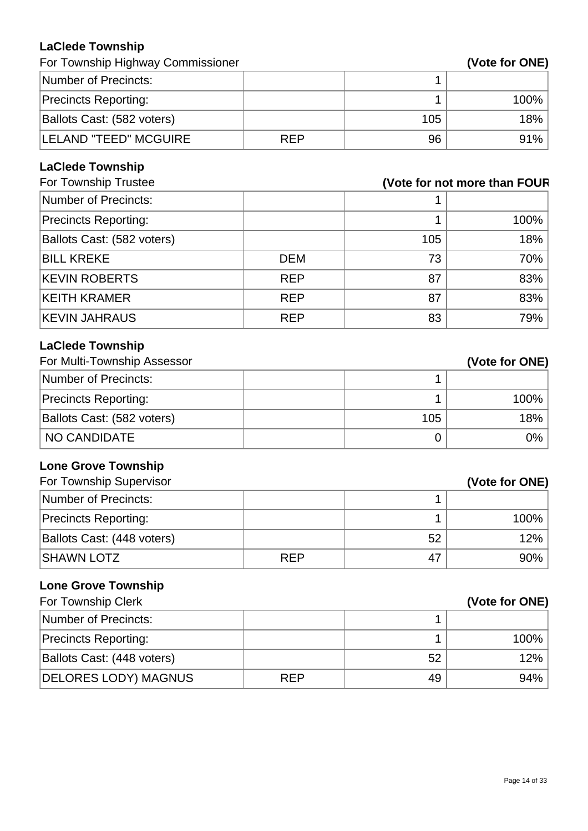# **LaClede Township**

| For Township Highway Commissioner |  |
|-----------------------------------|--|
|-----------------------------------|--|

| For Township Highway Commissioner |            |     | (Vote for ONE) |
|-----------------------------------|------------|-----|----------------|
| Number of Precincts:              |            |     |                |
| <b>Precincts Reporting:</b>       |            |     | 100%           |
| Ballots Cast: (582 voters)        |            | 105 | 18%            |
| <b>LELAND "TEED" MCGUIRE</b>      | <b>RFP</b> | 96  | 91%            |

# **LaClede Township**

| For Township Trustee        | (Vote for not more than FOUR |     |      |
|-----------------------------|------------------------------|-----|------|
| Number of Precincts:        |                              |     |      |
| <b>Precincts Reporting:</b> |                              |     | 100% |
| Ballots Cast: (582 voters)  |                              | 105 | 18%  |
| <b>BILL KREKE</b>           | <b>DEM</b>                   | 73  | 70%  |
| <b>KEVIN ROBERTS</b>        | <b>REP</b>                   | 87  | 83%  |
| <b>KEITH KRAMER</b>         | <b>REP</b>                   | 87  | 83%  |
| <b>KEVIN JAHRAUS</b>        | <b>REP</b>                   | 83  | 79%  |

# **LaClede Township**

| For Multi-Township Assessor |     | (Vote for ONE) |
|-----------------------------|-----|----------------|
| Number of Precincts:        |     |                |
| <b>Precincts Reporting:</b> |     | 100%           |
| Ballots Cast: (582 voters)  | 105 | 18%            |
| <b>NO CANDIDATE</b>         |     | $0\%$          |

# **Lone Grove Township**

| For Township Supervisor     |            |    | (Vote for ONE) |
|-----------------------------|------------|----|----------------|
| Number of Precincts:        |            |    |                |
| <b>Precincts Reporting:</b> |            |    | $100\%$        |
| Ballots Cast: (448 voters)  |            | 52 | $12\%$         |
| <b>SHAWN LOTZ</b>           | <b>REP</b> | 47 | $90\%$         |

# **Lone Grove Township**

| For Township Clerk          |            |    | (Vote for ONE) |
|-----------------------------|------------|----|----------------|
| Number of Precincts:        |            |    |                |
| <b>Precincts Reporting:</b> |            |    | 100%           |
| Ballots Cast: (448 voters)  |            | 52 | 12%            |
| <b>DELORES LODY) MAGNUS</b> | <b>REP</b> | 49 | 94%            |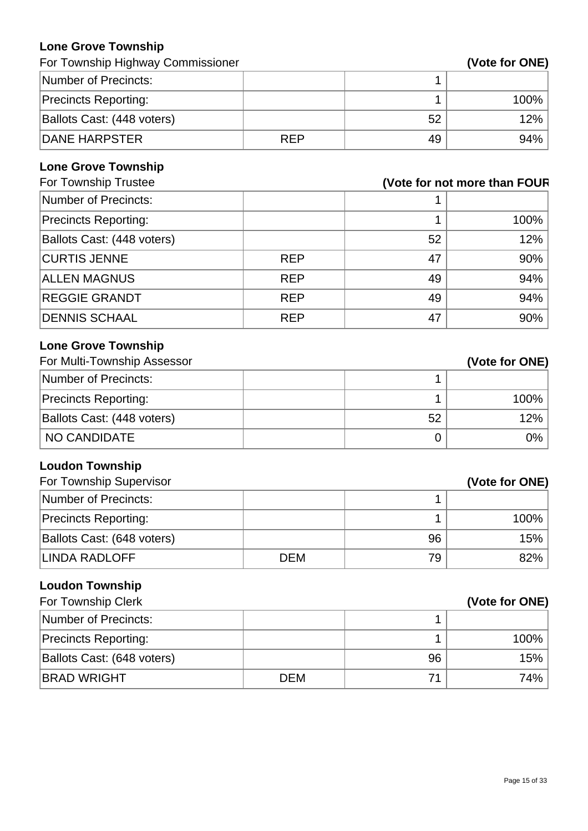# **Lone Grove Township**

For Township Highway Commissioner **(Vote for ONE)** 

| Number of Precincts:        |            |    |         |
|-----------------------------|------------|----|---------|
| <b>Precincts Reporting:</b> |            |    | $100\%$ |
| Ballots Cast: (448 voters)  |            | 52 | 12%     |
| <b>DANE HARPSTER</b>        | <b>RFP</b> | 49 | $94\%$  |

#### **Lone Grove Township**

| For Township Trustee        | (Vote for not more than FOUR |    |      |
|-----------------------------|------------------------------|----|------|
| Number of Precincts:        |                              |    |      |
| <b>Precincts Reporting:</b> |                              |    | 100% |
| Ballots Cast: (448 voters)  |                              | 52 | 12%  |
| <b>CURTIS JENNE</b>         | <b>REP</b>                   | 47 | 90%  |
| <b>ALLEN MAGNUS</b>         | <b>REP</b>                   | 49 | 94%  |
| <b>REGGIE GRANDT</b>        | <b>REP</b>                   | 49 | 94%  |
| <b>DENNIS SCHAAL</b>        | <b>REP</b>                   | 47 | 90%  |

# **Lone Grove Township**

| For Multi-Township Assessor |    | (Vote for ONE) |
|-----------------------------|----|----------------|
| Number of Precincts:        |    |                |
| <b>Precincts Reporting:</b> |    | 100%           |
| Ballots Cast: (448 voters)  | 52 | 12%            |
| NO CANDIDATE                |    | $0\%$          |

# **Loudon Township**

| For Township Supervisor     |            |    | (Vote for ONE) |
|-----------------------------|------------|----|----------------|
| Number of Precincts:        |            |    |                |
| <b>Precincts Reporting:</b> |            |    | $100\%$        |
| Ballots Cast: (648 voters)  |            | 96 | 15%            |
| LINDA RADLOFF               | <b>DEM</b> | 79 | $82\%$         |

# **Loudon Township**

| For Township Clerk          |            |    | (Vote for ONE) |
|-----------------------------|------------|----|----------------|
| Number of Precincts:        |            |    |                |
| <b>Precincts Reporting:</b> |            |    | 100%           |
| Ballots Cast: (648 voters)  |            | 96 | 15%            |
| <b>BRAD WRIGHT</b>          | <b>DEM</b> | 71 | 74%            |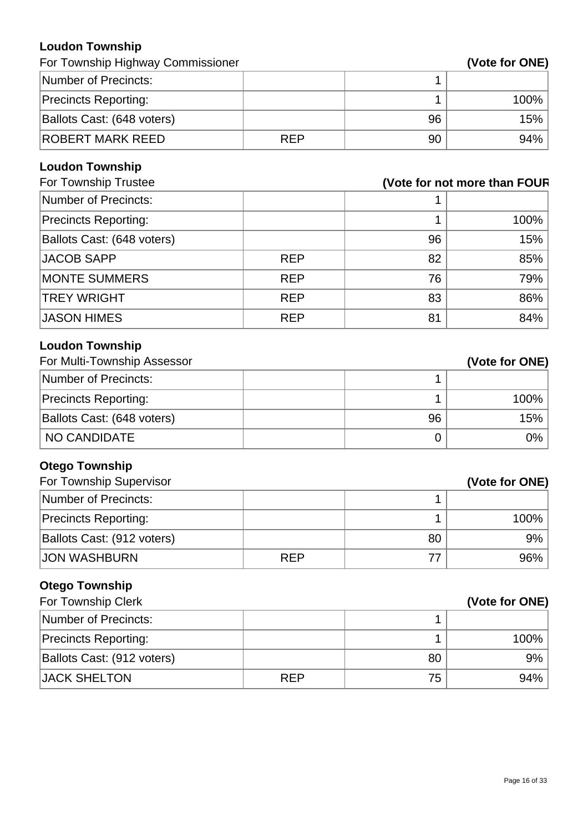#### **Loudon Township**

| For Township Highway Commissioner |            |    | (Vote for ONE) |
|-----------------------------------|------------|----|----------------|
| Number of Precincts:              |            |    |                |
| <b>Precincts Reporting:</b>       |            |    | $100\%$        |
| Ballots Cast: (648 voters)        |            | 96 | 15%            |
| ROBERT MARK REED                  | <b>REP</b> | 90 | 94%            |

# **Loudon Township**

| For Township Trustee        | (Vote for not more than FOUR |    |      |
|-----------------------------|------------------------------|----|------|
| Number of Precincts:        |                              |    |      |
| <b>Precincts Reporting:</b> |                              |    | 100% |
| Ballots Cast: (648 voters)  |                              | 96 | 15%  |
| JACOB SAPP                  | <b>REP</b>                   | 82 | 85%  |
| <b>MONTE SUMMERS</b>        | <b>REP</b>                   | 76 | 79%  |
| <b>TREY WRIGHT</b>          | <b>REP</b>                   | 83 | 86%  |
| <b>JASON HIMES</b>          | <b>REP</b>                   | 81 | 84%  |

# **Loudon Township**

| For Multi-Township Assessor |    | (Vote for ONE) |
|-----------------------------|----|----------------|
| Number of Precincts:        |    |                |
| <b>Precincts Reporting:</b> |    | 100%           |
| Ballots Cast: (648 voters)  | 96 | $15\%$ .       |
| NO CANDIDATE                |    | 0%             |

# **Otego Township**

| For Township Supervisor     |            |    | (Vote for ONE) |
|-----------------------------|------------|----|----------------|
| Number of Precincts:        |            |    |                |
| <b>Precincts Reporting:</b> |            |    | $100\%$        |
| Ballots Cast: (912 voters)  |            | 80 | $9\%$          |
| <b>JON WASHBURN</b>         | <b>REP</b> |    | $96\%$         |

# **Otego Township**

| For Township Clerk          |            |    | (Vote for ONE) |
|-----------------------------|------------|----|----------------|
| Number of Precincts:        |            |    |                |
| <b>Precincts Reporting:</b> |            |    | $100\%$        |
| Ballots Cast: (912 voters)  |            | 80 | $9\%$          |
| <b>JACK SHELTON</b>         | <b>REP</b> | 75 | $94\%$         |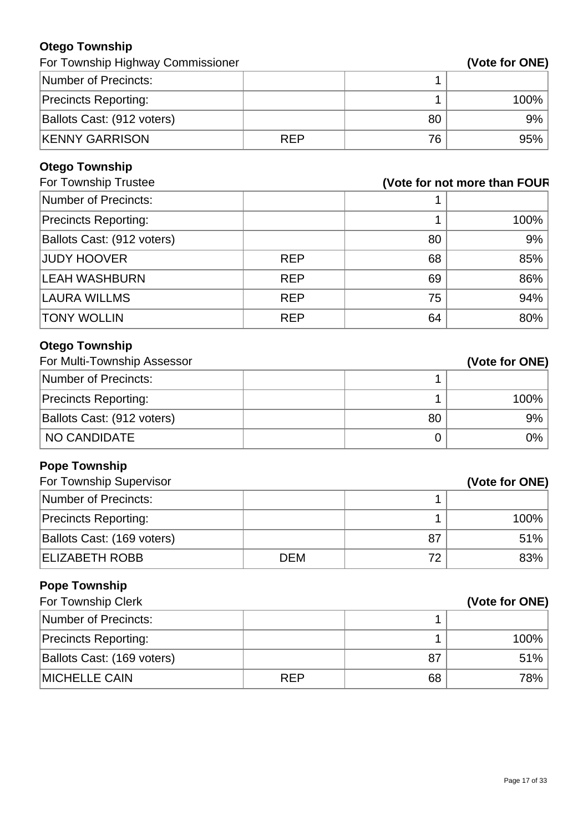# **Otego Township**

| For Township Highway Commissioner |            |    | (Vote for ONE) |
|-----------------------------------|------------|----|----------------|
| Number of Precincts:              |            |    |                |
| <b>Precincts Reporting:</b>       |            |    | 100%           |
| Ballots Cast: (912 voters)        |            | 80 | 9%             |
| <b>KENNY GARRISON</b>             | <b>REP</b> | 76 | 95%            |

# **Otego Township**

| For Township Trustee        |            |    | (Vote for not more than FOUR |
|-----------------------------|------------|----|------------------------------|
| Number of Precincts:        |            |    |                              |
| <b>Precincts Reporting:</b> |            |    | 100%                         |
| Ballots Cast: (912 voters)  |            | 80 | 9%                           |
| <b>JUDY HOOVER</b>          | <b>REP</b> | 68 | 85%                          |
| <b>LEAH WASHBURN</b>        | <b>REP</b> | 69 | 86%                          |
| <b>LAURA WILLMS</b>         | <b>REP</b> | 75 | 94%                          |
| <b>TONY WOLLIN</b>          | <b>REP</b> | 64 | 80%                          |

# **Otego Township**

| For Multi-Township Assessor |    | (Vote for ONE) |
|-----------------------------|----|----------------|
| Number of Precincts:        |    |                |
| <b>Precincts Reporting:</b> |    | 100%           |
| Ballots Cast: (912 voters)  | 80 | 9%             |
| <b>NO CANDIDATE</b>         |    | 0%             |

# **Pope Township**

| For Township Supervisor     |     |    | (Vote for ONE) |
|-----------------------------|-----|----|----------------|
| Number of Precincts:        |     |    |                |
| <b>Precincts Reporting:</b> |     |    | $100\%$        |
| Ballots Cast: (169 voters)  |     | 87 | 51%            |
| <b>ELIZABETH ROBB</b>       | DEM | 72 | 83%            |

#### **Pope Township**

| For Township Clerk          |            | (Vote for ONE) |      |
|-----------------------------|------------|----------------|------|
| Number of Precincts:        |            |                |      |
| <b>Precincts Reporting:</b> |            |                | 100% |
| Ballots Cast: (169 voters)  |            | 87             | 51%  |
| <b>MICHELLE CAIN</b>        | <b>REP</b> | 68             | 78%  |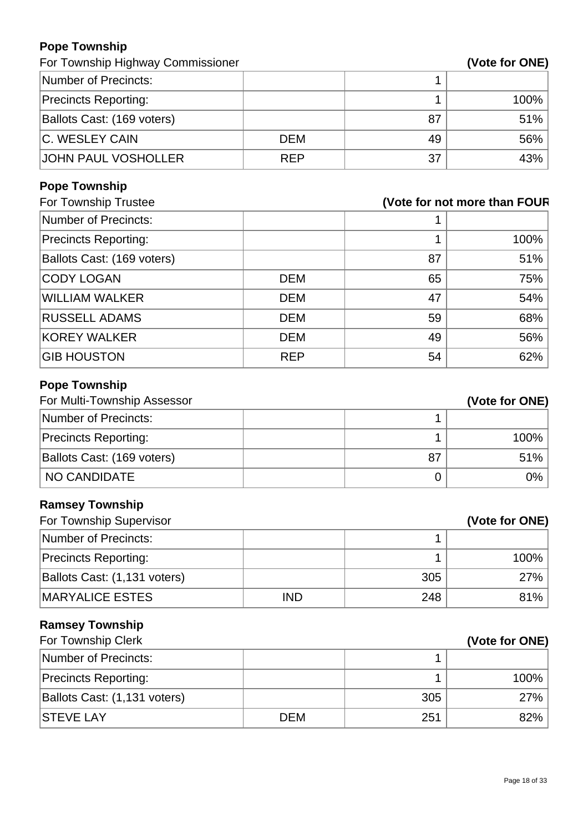#### **Pope Township**

For Township Highway Commissioner **(Vote for ONE)** 

| Number of Precincts:        |            |    |      |
|-----------------------------|------------|----|------|
| <b>Precincts Reporting:</b> |            |    | 100% |
| Ballots Cast: (169 voters)  |            | 87 | 51%  |
| C. WESLEY CAIN              | <b>DEM</b> | 49 | 56%  |
| JOHN PAUL VOSHOLLER         | <b>REP</b> | 37 | 43%  |

# **Pope Township**

| (Vote for not more than FOUR |    |      |
|------------------------------|----|------|
|                              |    |      |
|                              |    | 100% |
|                              | 87 | 51%  |
| <b>DEM</b>                   | 65 | 75%  |
| <b>DEM</b>                   | 47 | 54%  |
| <b>DEM</b>                   | 59 | 68%  |
| <b>DEM</b>                   | 49 | 56%  |
| <b>REP</b>                   | 54 | 62%  |
|                              |    |      |

# **Pope Township**

| For Multi-Township Assessor |    | (Vote for ONE) |
|-----------------------------|----|----------------|
| Number of Precincts:        |    |                |
| <b>Precincts Reporting:</b> |    | 100%           |
| Ballots Cast: (169 voters)  | 87 | 51%            |
| I NO CANDIDATE              |    | 0%             |

# **Ramsey Township**

| For Township Supervisor      |            | (Vote for ONE) |        |
|------------------------------|------------|----------------|--------|
| Number of Precincts:         |            |                |        |
| <b>Precincts Reporting:</b>  |            |                | 100%   |
| Ballots Cast: (1,131 voters) |            | 305            | $27\%$ |
| <b>MARYALICE ESTES</b>       | <b>IND</b> | 248            | 81%    |

# **Ramsey Township**

| For Township Clerk           |            |     | (Vote for ONE) |
|------------------------------|------------|-----|----------------|
| Number of Precincts:         |            |     |                |
| <b>Precincts Reporting:</b>  |            |     | 100%           |
| Ballots Cast: (1,131 voters) |            | 305 | 27%            |
| <b>STEVE LAY</b>             | <b>DEM</b> | 251 | 82%            |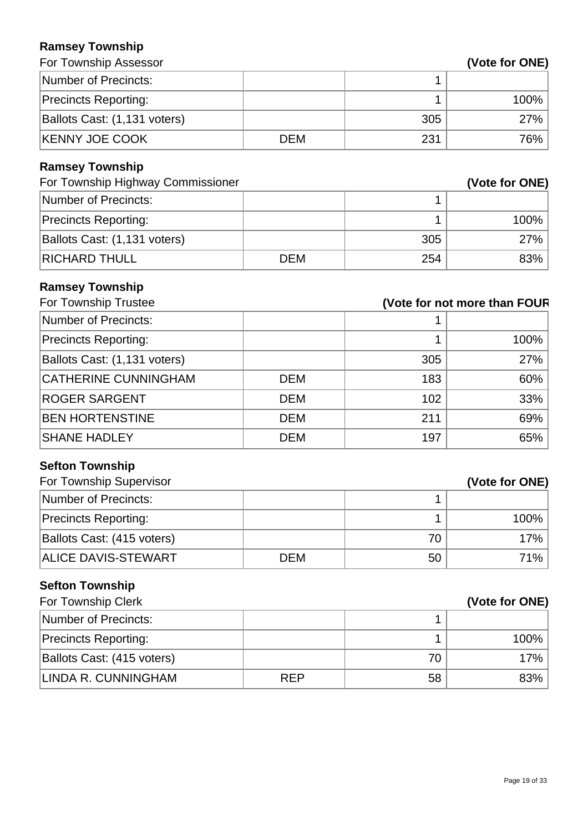# **Ramsey Township**

|  | (Vote for ONE) |
|--|----------------|
|  |                |

| For Township Assessor             |            |                              | (Vote for ONE) |
|-----------------------------------|------------|------------------------------|----------------|
| <b>Number of Precincts:</b>       |            | 1                            |                |
| <b>Precincts Reporting:</b>       |            | 1                            | 100%           |
| Ballots Cast: (1,131 voters)      |            | 305                          | 27%            |
| <b>KENNY JOE COOK</b>             | <b>DEM</b> | 231                          | 76%            |
| <b>Ramsey Township</b>            |            |                              |                |
| For Township Highway Commissioner |            |                              | (Vote for ONE) |
| <b>Number of Precincts:</b>       |            | 1                            |                |
| <b>Precincts Reporting:</b>       |            | 1                            | 100%           |
| Ballots Cast: (1,131 voters)      |            | 305                          | 27%            |
| <b>RICHARD THULL</b>              | <b>DEM</b> | 254                          | 83%            |
| <b>Ramsey Township</b>            |            |                              |                |
| For Township Trustee              |            | (Vote for not more than FOUR |                |
| <b>Number of Precincts:</b>       |            |                              |                |
| <b>Precincts Reporting:</b>       |            | 1                            | 100%           |
| Ballots Cast: (1,131 voters)      |            | 305                          | 27%            |
| <b>CATHERINE CUNNINGHAM</b>       | <b>DEM</b> | 183                          | 60%            |
| <b>ROGER SARGENT</b>              | <b>DEM</b> | 102                          | 33%            |
| <b>BEN HORTENSTINE</b>            | <b>DEM</b> | 211                          | 69%            |
| <b>SHANE HADLEY</b>               | <b>DEM</b> | 197                          | 65%            |
| <b>Sefton Township</b>            |            |                              |                |
| For Township Supervisor           |            |                              | (Vote for ONE) |
| <b>Number of Precincts:</b>       |            | $\mathbf 1$                  |                |
| <b>Precincts Reporting:</b>       |            | 1                            | 100%           |
| Ballots Cast: (415 voters)        |            | 70                           | 17%            |
| <b>ALICE DAVIS-STEWART</b>        | <b>DEM</b> | 50                           | 71%            |
| <b>Sefton Township</b>            |            |                              |                |
| For Township Clerk                |            |                              | (Vote for ONE) |
| <b>Number of Precincts:</b>       |            | 1                            |                |
| <b>Precincts Reporting:</b>       |            | 1                            | 100%           |
| Ballots Cast: (415 voters)        |            | 70                           | 17%            |
| LINDA R. CUNNINGHAM               | <b>REP</b> | 58                           | 83%            |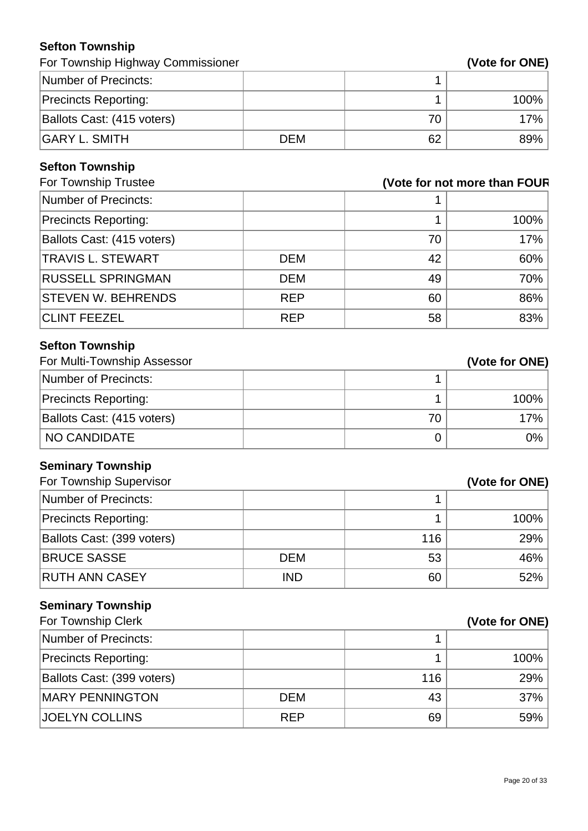# **Sefton Township**

| For Township Highway Commissioner | (Vote for ONE) |
|-----------------------------------|----------------|
|-----------------------------------|----------------|

| Number of Precincts:        |     |    |         |
|-----------------------------|-----|----|---------|
| <b>Precincts Reporting:</b> |     |    | $100\%$ |
| Ballots Cast: (415 voters)  |     | 70 | 17%     |
| <b>GARY L. SMITH</b>        | DEM | 62 | $89\%$  |

# **Sefton Township**

| For Township Trustee        | (Vote for not more than FOUR |    |      |
|-----------------------------|------------------------------|----|------|
| Number of Precincts:        |                              |    |      |
| <b>Precincts Reporting:</b> |                              |    | 100% |
| Ballots Cast: (415 voters)  |                              | 70 | 17%  |
| <b>TRAVIS L. STEWART</b>    | <b>DEM</b>                   | 42 | 60%  |
| <b>RUSSELL SPRINGMAN</b>    | <b>DEM</b>                   | 49 | 70%  |
| <b>STEVEN W. BEHRENDS</b>   | <b>REP</b>                   | 60 | 86%  |
| <b>CLINT FEEZEL</b>         | <b>REP</b>                   | 58 | 83%  |

# **Sefton Township**

| For Multi-Township Assessor |    | (Vote for ONE) |
|-----------------------------|----|----------------|
| Number of Precincts:        |    |                |
| <b>Precincts Reporting:</b> |    | 100%           |
| Ballots Cast: (415 voters)  | 70 | 17%            |
| NO CANDIDATE                |    | 0%             |

# **Seminary Township**

| For Township Supervisor     |            |     | (Vote for ONE) |
|-----------------------------|------------|-----|----------------|
| Number of Precincts:        |            |     |                |
| <b>Precincts Reporting:</b> |            |     | $100\%$        |
| Ballots Cast: (399 voters)  |            | 116 | 29%            |
| <b>BRUCE SASSE</b>          | <b>DEM</b> | 53  | 46%            |
| <b>RUTH ANN CASEY</b>       | <b>IND</b> | 60  | $52\%$         |

# **Seminary Township**

| For Township Clerk          |            | (Vote for ONE) |      |
|-----------------------------|------------|----------------|------|
| Number of Precincts:        |            |                |      |
| <b>Precincts Reporting:</b> |            |                | 100% |
| Ballots Cast: (399 voters)  |            | 116            | 29%  |
| <b>MARY PENNINGTON</b>      | <b>DEM</b> | 43             | 37%  |
| <b>JOELYN COLLINS</b>       | <b>REP</b> | 69             | 59%  |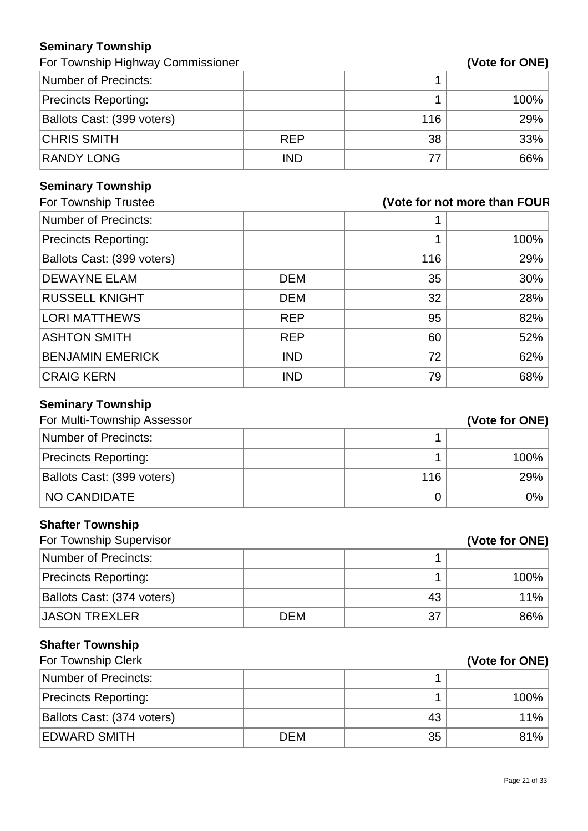#### **Seminary Township**

For Township Highway Commissioner **(Vote 7)** and  $\mathbf{C}$ 

| Vote for ONE) |  |
|---------------|--|
|---------------|--|

| Number of Precincts:        |            |     |      |
|-----------------------------|------------|-----|------|
| <b>Precincts Reporting:</b> |            |     | 100% |
| Ballots Cast: (399 voters)  |            | 116 | 29%  |
| <b>CHRIS SMITH</b>          | <b>REP</b> | 38  | 33%  |
| <b>RANDY LONG</b>           | <b>IND</b> | 77  | 66%  |

# **Seminary Township**

| For Township Trustee        | (Vote for not more than FOUR |     |      |
|-----------------------------|------------------------------|-----|------|
| Number of Precincts:        |                              |     |      |
| <b>Precincts Reporting:</b> |                              |     | 100% |
| Ballots Cast: (399 voters)  |                              | 116 | 29%  |
| <b>DEWAYNE ELAM</b>         | <b>DEM</b>                   | 35  | 30%  |
| <b>RUSSELL KNIGHT</b>       | <b>DEM</b>                   | 32  | 28%  |
| <b>LORI MATTHEWS</b>        | <b>REP</b>                   | 95  | 82%  |
| <b>ASHTON SMITH</b>         | <b>REP</b>                   | 60  | 52%  |
| <b>BENJAMIN EMERICK</b>     | <b>IND</b>                   | 72  | 62%  |
| <b>CRAIG KERN</b>           | <b>IND</b>                   | 79  | 68%  |
|                             |                              |     |      |

#### **Seminary Township**

| For Multi-Township Assessor |     | (Vote for ONE) |
|-----------------------------|-----|----------------|
| Number of Precincts:        |     |                |
| <b>Precincts Reporting:</b> |     | 100%           |
| Ballots Cast: (399 voters)  | 116 | 29%            |
| NO CANDIDATE                |     | $0\%$          |

# **Shafter Township**

| For Township Supervisor     |            |    | (Vote for ONE) |
|-----------------------------|------------|----|----------------|
| Number of Precincts:        |            |    |                |
| <b>Precincts Reporting:</b> |            |    | 100%           |
| Ballots Cast: (374 voters)  |            | 43 | 11%            |
| JASON TREXLER               | <b>DEM</b> | 37 | 86%            |

# **Shafter Township**

| <b>For Township Clerk</b>   |            |    | (Vote for ONE) |
|-----------------------------|------------|----|----------------|
| Number of Precincts:        |            |    |                |
| <b>Precincts Reporting:</b> |            |    | 100%           |
| Ballots Cast: (374 voters)  |            | 43 | 11%            |
| <b>EDWARD SMITH</b>         | <b>DEM</b> | 35 | 81%            |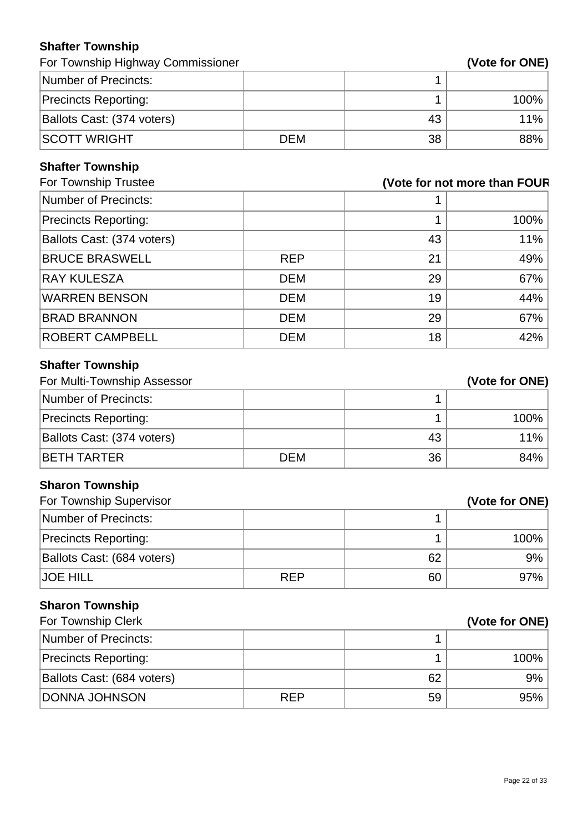# **Shafter Township**

For Township Highway Commissioner **(Vote for ONE)** 

| Number of Precincts:        |            |    |         |
|-----------------------------|------------|----|---------|
| <b>Precincts Reporting:</b> |            |    | $100\%$ |
| Ballots Cast: (374 voters)  |            | 43 | $11\%$  |
| <b>SCOTT WRIGHT</b>         | <b>DEM</b> | 38 | $88\%$  |

# **Shafter Township**

| For Township Trustee        | (Vote for not more than FOUR |    |      |
|-----------------------------|------------------------------|----|------|
| Number of Precincts:        |                              |    |      |
| <b>Precincts Reporting:</b> |                              |    | 100% |
| Ballots Cast: (374 voters)  |                              | 43 | 11%  |
| <b>BRUCE BRASWELL</b>       | <b>REP</b>                   | 21 | 49%  |
| <b>RAY KULESZA</b>          | <b>DEM</b>                   | 29 | 67%  |
| <b>WARREN BENSON</b>        | <b>DEM</b>                   | 19 | 44%  |
| <b>BRAD BRANNON</b>         | <b>DEM</b>                   | 29 | 67%  |
| <b>ROBERT CAMPBELL</b>      | <b>DEM</b>                   | 18 | 42%  |

# **Shafter Township**

| For Multi-Township Assessor |            |    | (Vote for ONE) |
|-----------------------------|------------|----|----------------|
| Number of Precincts:        |            |    |                |
| <b>Precincts Reporting:</b> |            |    | 100%           |
| Ballots Cast: (374 voters)  |            | 43 | 11%            |
| <b>IBETH TARTER</b>         | <b>DEM</b> | 36 | 84%            |

# **Sharon Township**

| For Township Supervisor     |            |    | (Vote for ONE) |
|-----------------------------|------------|----|----------------|
| Number of Precincts:        |            |    |                |
| <b>Precincts Reporting:</b> |            |    | 100%           |
| Ballots Cast: (684 voters)  |            | 62 | 9%             |
| <b>JOE HILL</b>             | <b>REP</b> | 60 | 97%            |

# **Sharon Township**

| For Township Clerk          |            |    | (Vote for ONE) |
|-----------------------------|------------|----|----------------|
| Number of Precincts:        |            |    |                |
| <b>Precincts Reporting:</b> |            |    | 100%           |
| Ballots Cast: (684 voters)  |            | 62 | 9%             |
| DONNA JOHNSON               | <b>REP</b> | 59 | 95%            |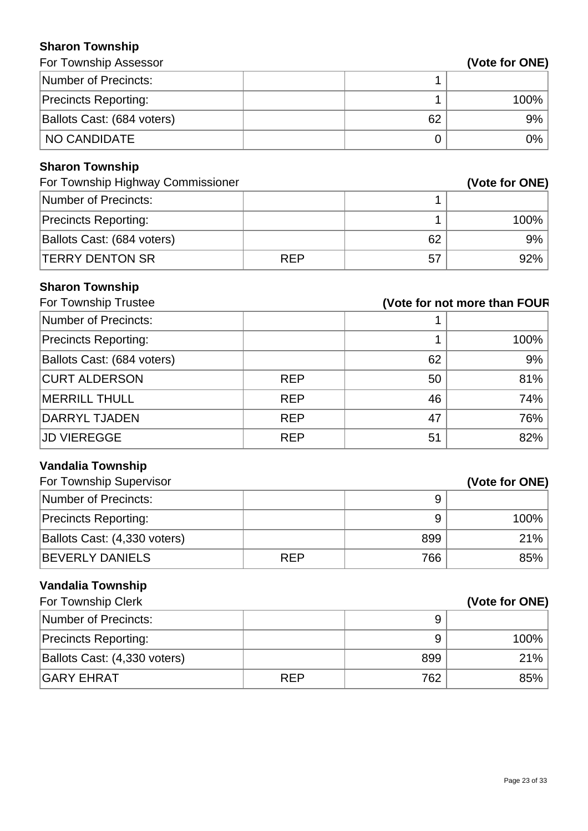#### **Sharon Township**

| שוומוטוו וטאווטווט                |            |                              |                |
|-----------------------------------|------------|------------------------------|----------------|
| For Township Assessor             |            |                              | (Vote for ONE) |
| <b>Number of Precincts:</b>       |            | 1                            |                |
| <b>Precincts Reporting:</b>       |            | 1                            | 100%           |
| Ballots Cast: (684 voters)        |            | 62                           | 9%             |
| <b>NO CANDIDATE</b>               |            | 0                            | 0%             |
| <b>Sharon Township</b>            |            |                              |                |
| For Township Highway Commissioner |            |                              | (Vote for ONE) |
| <b>Number of Precincts:</b>       |            | 1                            |                |
| <b>Precincts Reporting:</b>       |            | 1                            | 100%           |
| Ballots Cast: (684 voters)        |            | 62                           | 9%             |
| <b>TERRY DENTON SR</b>            | <b>REP</b> | 57                           | 92%            |
| <b>Sharon Township</b>            |            |                              |                |
| For Township Trustee              |            | (Vote for not more than FOUR |                |
| <b>Number of Precincts:</b>       |            | 1                            |                |
| <b>Precincts Reporting:</b>       |            | 1                            | 100%           |
| Ballots Cast: (684 voters)        |            | 62                           | 9%             |
| <b>CURT ALDERSON</b>              | <b>REP</b> | 50                           | 81%            |
| <b>MERRILL THULL</b>              | <b>REP</b> | 46                           | 74%            |
| <b>DARRYL TJADEN</b>              | <b>REP</b> | 47                           | 76%            |
| <b>JD VIEREGGE</b>                | <b>REP</b> | 51                           | 82%            |
| <b>Vandalia Township</b>          |            |                              |                |
| For Township Supervisor           |            |                              | (Vote for ONE) |
| <b>Number of Precincts:</b>       |            | 9                            |                |
| <b>Precincts Reporting:</b>       |            | 9                            | 100%           |
| Ballots Cast: (4,330 voters)      |            | 899                          | 21%            |
| <b>BEVERLY DANIELS</b>            | <b>REP</b> | 766                          | 85%            |
| <b>Vandalia Township</b>          |            |                              |                |
| For Township Clerk                |            |                              | (Vote for ONE) |
| Number of Precincts:              |            | 9                            |                |
| <b>Precincts Reporting:</b>       |            | 9                            | 100%           |
| Ballots Cast: (4,330 voters)      |            | 899                          | 21%            |

GARY EHRAT REP 762 85%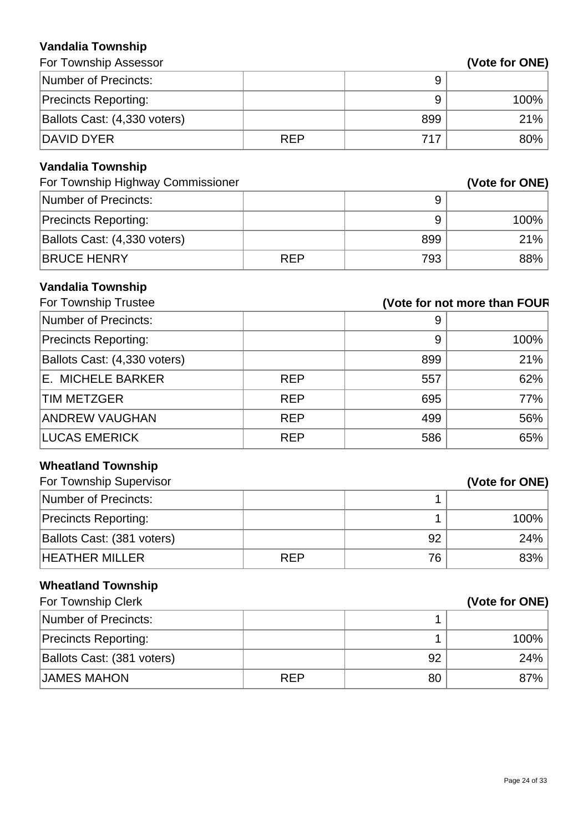#### **Vandalia Township**

| Valiudila TUWIISIIIP                             |            |                              |                |
|--------------------------------------------------|------------|------------------------------|----------------|
| For Township Assessor                            |            |                              | (Vote for ONE) |
| <b>Number of Precincts:</b>                      |            | 9                            |                |
| <b>Precincts Reporting:</b>                      |            | 9                            | 100%           |
| Ballots Cast: (4,330 voters)                     |            | 899                          | 21%            |
| <b>DAVID DYER</b>                                | <b>REP</b> | 717                          | 80%            |
| <b>Vandalia Township</b>                         |            |                              |                |
| For Township Highway Commissioner                |            |                              | (Vote for ONE) |
| <b>Number of Precincts:</b>                      |            | 9                            |                |
| <b>Precincts Reporting:</b>                      |            | 9                            | 100%           |
| Ballots Cast: (4,330 voters)                     |            | 899                          | 21%            |
| <b>BRUCE HENRY</b>                               | <b>REP</b> | 793                          | 88%            |
|                                                  |            |                              |                |
| <b>Vandalia Township</b><br>For Township Trustee |            | (Vote for not more than FOUR |                |
| <b>Number of Precincts:</b>                      |            | 9                            |                |
| <b>Precincts Reporting:</b>                      |            | 9                            | 100%           |
| Ballots Cast: (4,330 voters)                     |            | 899                          | 21%            |
| <b>E. MICHELE BARKER</b>                         | <b>REP</b> | 557                          | 62%            |
| <b>TIM METZGER</b>                               | <b>REP</b> | 695                          | 77%            |
| <b>ANDREW VAUGHAN</b>                            | <b>REP</b> | 499                          | 56%            |
| <b>LUCAS EMERICK</b>                             | <b>REP</b> |                              |                |
|                                                  |            | 586                          | 65%            |
| <b>Wheatland Township</b>                        |            |                              |                |
| For Township Supervisor                          |            |                              | (Vote for ONE) |
| <b>Number of Precincts:</b>                      |            | 1                            |                |
| <b>Precincts Reporting:</b>                      |            | 1                            | 100%           |
| Ballots Cast: (381 voters)                       |            | 92                           | 24%            |
| <b>HEATHER MILLER</b>                            | <b>REP</b> | 76                           | 83%            |
| <b>Wheatland Township</b>                        |            |                              |                |
| For Township Clerk                               |            |                              | (Vote for ONE) |
| <b>Number of Precincts:</b>                      |            | 1                            |                |
| <b>Precincts Reporting:</b>                      |            | 1                            | 100%           |
| Ballots Cast: (381 voters)                       |            | 92                           | 24%            |

 $JAMES MAHON$  REP  $80$  87%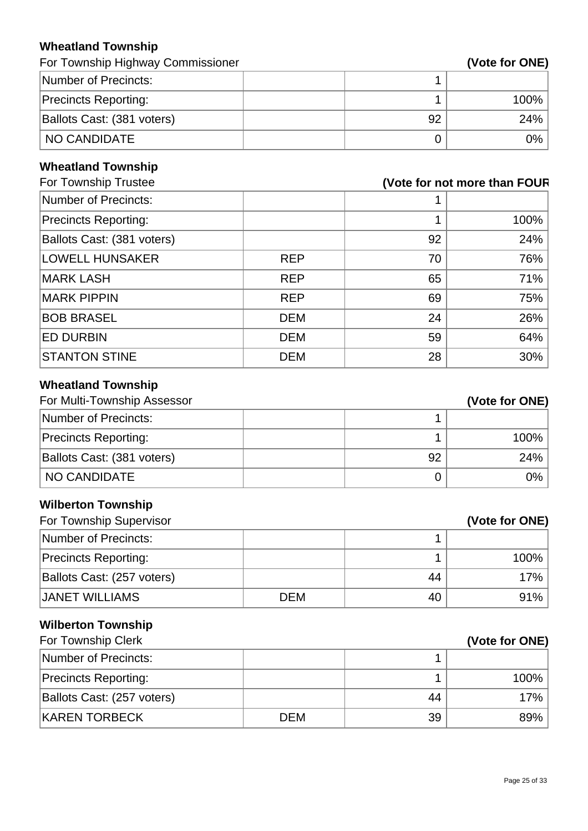# **Wheatland Township**

For Township Highway Commissioner **(Vote for ONE)** 

| Number of Precincts:        |    |         |
|-----------------------------|----|---------|
| <b>Precincts Reporting:</b> |    | $100\%$ |
| Ballots Cast: (381 voters)  | 92 | 24%     |
| <b>NO CANDIDATE</b>         |    | 9%      |

#### **Wheatland Township**

| For Township Trustee       |            |    | (Vote for not more than FOUR |
|----------------------------|------------|----|------------------------------|
| Number of Precincts:       |            |    |                              |
| Precincts Reporting:       |            |    | 100%                         |
| Ballots Cast: (381 voters) |            | 92 | 24%                          |
| <b>LOWELL HUNSAKER</b>     | <b>REP</b> | 70 | 76%                          |
| MARK LASH                  | <b>REP</b> | 65 | 71%                          |
| <b>MARK PIPPIN</b>         | <b>REP</b> | 69 | 75%                          |
| <b>BOB BRASEL</b>          | <b>DEM</b> | 24 | 26%                          |
| <b>ED DURBIN</b>           | <b>DEM</b> | 59 | 64%                          |
| <b>STANTON STINE</b>       | <b>DEM</b> | 28 | 30%                          |
|                            |            |    |                              |

# **Wheatland Township**

| For Multi-Township Assessor |    | (Vote for ONE) |
|-----------------------------|----|----------------|
| Number of Precincts:        |    |                |
| <b>Precincts Reporting:</b> |    | 100%           |
| Ballots Cast: (381 voters)  | 92 | 24%            |
| ™NO CANDIDATE               |    | 0%             |

# **Wilberton Township**

| For Township Supervisor     |            |    | (Vote for ONE) |
|-----------------------------|------------|----|----------------|
| Number of Precincts:        |            |    |                |
| <b>Precincts Reporting:</b> |            |    | 100%           |
| Ballots Cast: (257 voters)  |            | 44 | 17%            |
| <b>JANET WILLIAMS</b>       | <b>DEM</b> | 40 | 91%            |

# **Wilberton Township**

| For Township Clerk          |            |    | (Vote for ONE) |
|-----------------------------|------------|----|----------------|
| Number of Precincts:        |            |    |                |
| <b>Precincts Reporting:</b> |            |    | 100%           |
| Ballots Cast: (257 voters)  |            | 44 | 17%            |
| <b>KAREN TORBECK</b>        | <b>DEM</b> | 39 | 89%            |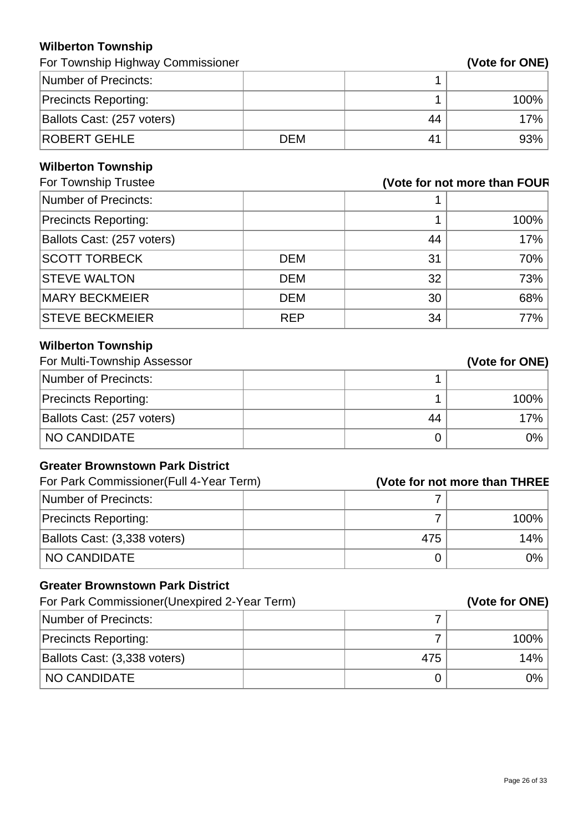#### **Wilberton Township**

For Township Highway Commissioner **(Vote for ONE)** 

| Number of Precincts:        |            |    |         |
|-----------------------------|------------|----|---------|
| <b>Precincts Reporting:</b> |            |    | $100\%$ |
| Ballots Cast: (257 voters)  |            | 44 | 17%     |
| <b>ROBERT GEHLE</b>         | <b>DEM</b> | 41 | 93%     |

# **Wilberton Township**

| For Township Trustee       |            |    | (Vote for not more than FOUR |
|----------------------------|------------|----|------------------------------|
| Number of Precincts:       |            |    |                              |
| Precincts Reporting:       |            |    | 100%                         |
| Ballots Cast: (257 voters) |            | 44 | 17%                          |
| <b>SCOTT TORBECK</b>       | <b>DEM</b> | 31 | 70%                          |
| <b>STEVE WALTON</b>        | <b>DEM</b> | 32 | 73%                          |
| <b>MARY BECKMEIER</b>      | <b>DEM</b> | 30 | 68%                          |
| <b>STEVE BECKMEIER</b>     | <b>REP</b> | 34 | 77%                          |

# **Wilberton Township**

| For Multi-Township Assessor |    | (Vote for ONE) |
|-----------------------------|----|----------------|
| Number of Precincts:        |    |                |
| <b>Precincts Reporting:</b> |    | 100%           |
| Ballots Cast: (257 voters)  | 44 | 17%            |
| NO CANDIDATE                |    | $0\%$          |

#### **Greater Brownstown Park District**

| For Park Commissioner(Full 4-Year Term) |     | (Vote for not more than THREE |
|-----------------------------------------|-----|-------------------------------|
| Number of Precincts:                    |     |                               |
| <b>Precincts Reporting:</b>             |     | 100%                          |
| Ballots Cast: (3,338 voters)            | 475 | 14%                           |
| NO CANDIDATE                            |     | 0%                            |

#### **Greater Brownstown Park District**

| For Park Commissioner (Unexpired 2-Year Term) |     | (Vote for ONE) |
|-----------------------------------------------|-----|----------------|
| Number of Precincts:                          |     |                |
| <b>Precincts Reporting:</b>                   |     | $100\%$        |
| Ballots Cast: (3,338 voters)                  | 475 | 14%            |
| I NO CANDIDATE                                |     | $0\%$          |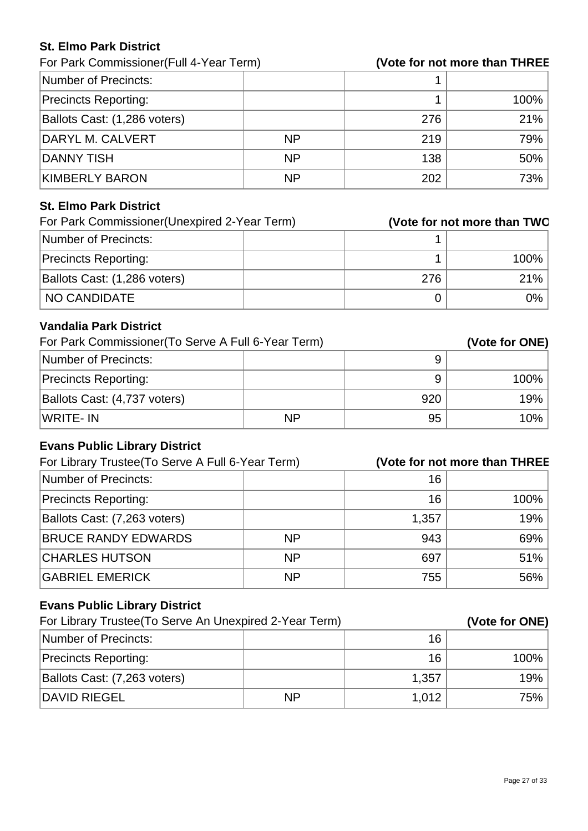#### **St. Elmo Park District**

For Park Commissioner(Full 4-Year Term) **(Vote for not more than THREE)**

| Number of Precincts:         |           |     |         |
|------------------------------|-----------|-----|---------|
| <b>Precincts Reporting:</b>  |           |     | $100\%$ |
| Ballots Cast: (1,286 voters) |           | 276 | 21%     |
| DARYL M. CALVERT             | <b>NP</b> | 219 | 79%     |
| DANNY TISH                   | <b>NP</b> | 138 | $50\%$  |
| KIMBERLY BARON               | <b>NP</b> | 202 | 73%     |

#### **St. Elmo Park District**

| For Park Commissioner (Unexpired 2-Year Term) |     | (Vote for not more than TWO |
|-----------------------------------------------|-----|-----------------------------|
| Number of Precincts:                          |     |                             |
| <b>Precincts Reporting:</b>                   |     | 100%                        |
| Ballots Cast: (1,286 voters)                  | 276 | 21%                         |
| NO CANDIDATE                                  |     | 0%                          |

#### **Vandalia Park District**

| For Park Commissioner (To Serve A Full 6-Year Term) |           |     | (Vote for ONE) |
|-----------------------------------------------------|-----------|-----|----------------|
| Number of Precincts:                                |           |     |                |
| <b>Precincts Reporting:</b>                         |           |     | $100\%$        |
| Ballots Cast: (4,737 voters)                        |           | 920 | 19%            |
| WRITE-IN                                            | <b>NP</b> | 95  | $10\%$         |

# **Evans Public Library District**

| For Library Trustee (To Serve A Full 6-Year Term) |           |       | (Vote for not more than THREE |
|---------------------------------------------------|-----------|-------|-------------------------------|
| Number of Precincts:                              |           | 16    |                               |
| <b>Precincts Reporting:</b>                       |           | 16    | 100%                          |
| Ballots Cast: (7,263 voters)                      |           | 1,357 | 19%                           |
| <b>BRUCE RANDY EDWARDS</b>                        | <b>NP</b> | 943   | 69%                           |
| <b>CHARLES HUTSON</b>                             | <b>NP</b> | 697   | 51%                           |
| <b>GABRIEL EMERICK</b>                            | <b>NP</b> | 755   | 56%                           |

# **Evans Public Library District**

| For Library Trustee (To Serve An Unexpired 2-Year Term) |           |       | (Vote for ONE) |
|---------------------------------------------------------|-----------|-------|----------------|
| Number of Precincts:                                    |           | 16    |                |
| <b>Precincts Reporting:</b>                             |           | 16    | $100\%$        |
| Ballots Cast: (7,263 voters)                            |           | 1,357 | 19%            |
| DAVID RIEGEL                                            | <b>NP</b> | 1,012 | 75%            |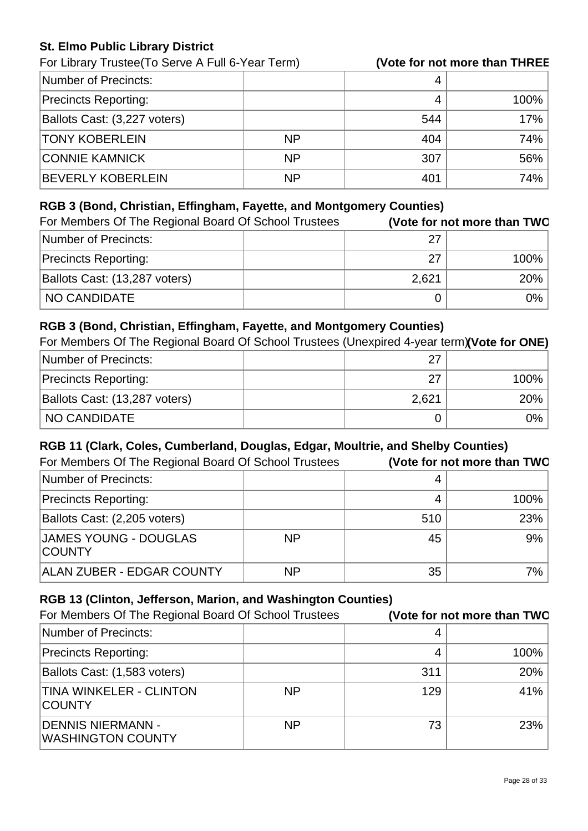#### **St. Elmo Public Library District**

For Library Trustee(To Serve A Full 6-Year Term) **(Vote for not more than THREE)**

| Number of Precincts:         |           |     |         |
|------------------------------|-----------|-----|---------|
| <b>Precincts Reporting:</b>  |           |     | $100\%$ |
| Ballots Cast: (3,227 voters) |           | 544 | 17%     |
| <b>TONY KOBERLEIN</b>        | <b>NP</b> | 404 | 74%     |
| <b>CONNIE KAMNICK</b>        | <b>NP</b> | 307 | 56%     |
| <b>BEVERLY KOBERLEIN</b>     | <b>NP</b> | 401 | 74%     |

#### **RGB 3 (Bond, Christian, Effingham, Fayette, and Montgomery Counties)**

| For Members Of The Regional Board Of School Trustees |       | (Vote for not more than TWO |
|------------------------------------------------------|-------|-----------------------------|
| Number of Precincts:                                 | 27    |                             |
| <b>Precincts Reporting:</b>                          | 27    | 100%                        |
| Ballots Cast: (13,287 voters)                        | 2,621 | 20%                         |
| NO CANDIDATE                                         |       | 0%                          |

#### **RGB 3 (Bond, Christian, Effingham, Fayette, and Montgomery Counties)**

For Members Of The Regional Board Of School Trustees (Unexpired 4-year term)**(Vote for ONE)**

| Number of Precincts:          | 27    |         |
|-------------------------------|-------|---------|
| <b>Precincts Reporting:</b>   | 27    | $100\%$ |
| Ballots Cast: (13,287 voters) | 2,621 | $20\%$  |
| <b>NO CANDIDATE</b>           |       | ገ%      |

#### **RGB 11 (Clark, Coles, Cumberland, Douglas, Edgar, Moultrie, and Shelby Counties)**

| For Members Of The Regional Board Of School Trustees |           |     | (Vote for not more than TWO |
|------------------------------------------------------|-----------|-----|-----------------------------|
| Number of Precincts:                                 |           |     |                             |
| <b>Precincts Reporting:</b>                          |           |     | 100%                        |
| Ballots Cast: (2,205 voters)                         |           | 510 | 23%                         |
| <b>JAMES YOUNG - DOUGLAS</b><br><b>COUNTY</b>        | <b>NP</b> | 45  | 9%                          |
| ALAN ZUBER - EDGAR COUNTY                            | <b>NP</b> | 35  | 7%                          |

#### **RGB 13 (Clinton, Jefferson, Marion, and Washington Counties)**

| For Members Of The Regional Board Of School Trustees |           |     | (Vote for not more than TWO |
|------------------------------------------------------|-----------|-----|-----------------------------|
| Number of Precincts:                                 |           | 4   |                             |
| <b>Precincts Reporting:</b>                          |           | 4   | 100%                        |
| Ballots Cast: (1,583 voters)                         |           | 311 | 20%                         |
| TINA WINKELER - CLINTON<br><b>COUNTY</b>             | <b>NP</b> | 129 | 41%                         |
| DENNIS NIERMANN -<br><b>WASHINGTON COUNTY</b>        | <b>NP</b> | 73  | 23%                         |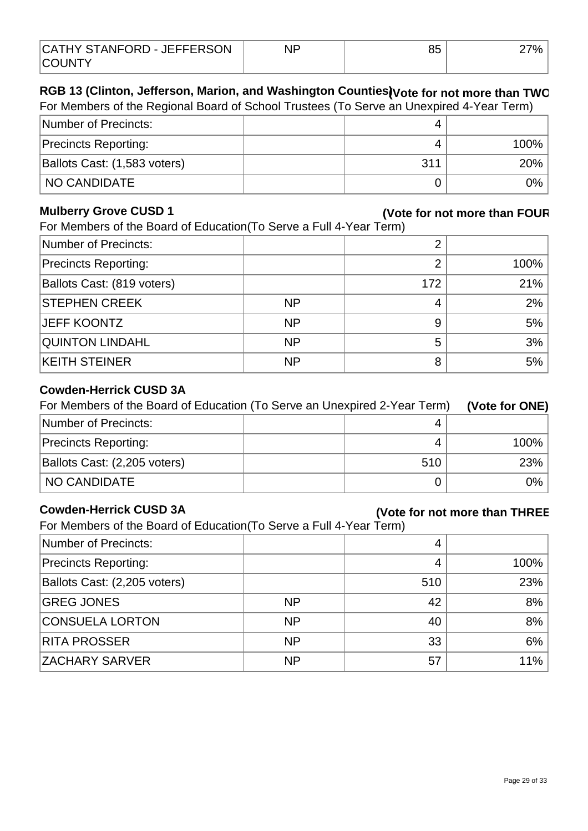| CATHY STANFORD - JEFFERSON | QΓ<br>UU | 7% . |
|----------------------------|----------|------|
| <b>COUNTY</b>              |          |      |

# RGB 13 (Clinton, Jefferson, Marion, and Washington Counties)<sub>(Vote</sub> for not more than TWO

| For Members of the Regional Board of School Trustees (To Serve an Unexpired 4-Year Term) |  |     |         |
|------------------------------------------------------------------------------------------|--|-----|---------|
| Number of Precincts:                                                                     |  |     |         |
| <b>Precincts Reporting:</b>                                                              |  |     | $100\%$ |
| Ballots Cast: (1,583 voters)                                                             |  | 311 | $20\%$  |
| <b>NO CANDIDATE</b>                                                                      |  |     | $0\%$   |

#### **Mulberry Grove CUSD 1**

# **(Vote for not more than FOUR)**

For Members of the Board of Education (To Serve a Full 4-Year Term)

| Number of Precincts:        |           |     |      |
|-----------------------------|-----------|-----|------|
| <b>Precincts Reporting:</b> |           | 2   | 100% |
| Ballots Cast: (819 voters)  |           | 172 | 21%  |
| <b>STEPHEN CREEK</b>        | <b>NP</b> | 4   | 2%   |
| <b>JEFF KOONTZ</b>          | <b>NP</b> | 9   | 5%   |
| <b>QUINTON LINDAHL</b>      | <b>NP</b> | 5   | 3%   |
| <b>KEITH STEINER</b>        | <b>NP</b> | 8   | 5%   |
|                             |           |     |      |

#### **Cowden-Herrick CUSD 3A**

| For Members of the Board of Education (To Serve an Unexpired 2-Year Term) | (Vote for ONE) |         |
|---------------------------------------------------------------------------|----------------|---------|
| Number of Precincts:                                                      |                |         |
| <b>Precincts Reporting:</b>                                               |                | $100\%$ |
| Ballots Cast: (2,205 voters)                                              | 510            | 23%     |
| NO CANDIDATE                                                              |                | $0\%$   |

#### **Cowden-Herrick CUSD 3A**

#### **(Vote for not more than THREE)**

For Members of the Board of Education(To Serve a Full 4-Year Term)

| Number of Precincts:         |           | 4   |      |
|------------------------------|-----------|-----|------|
| <b>Precincts Reporting:</b>  |           | 4   | 100% |
| Ballots Cast: (2,205 voters) |           | 510 | 23%  |
| <b>GREG JONES</b>            | <b>NP</b> | 42  | 8%   |
| <b>CONSUELA LORTON</b>       | <b>NP</b> | 40  | 8%   |
| <b>RITA PROSSER</b>          | <b>NP</b> | 33  | 6%   |
| <b>ZACHARY SARVER</b>        | <b>NP</b> | 57  | 11%  |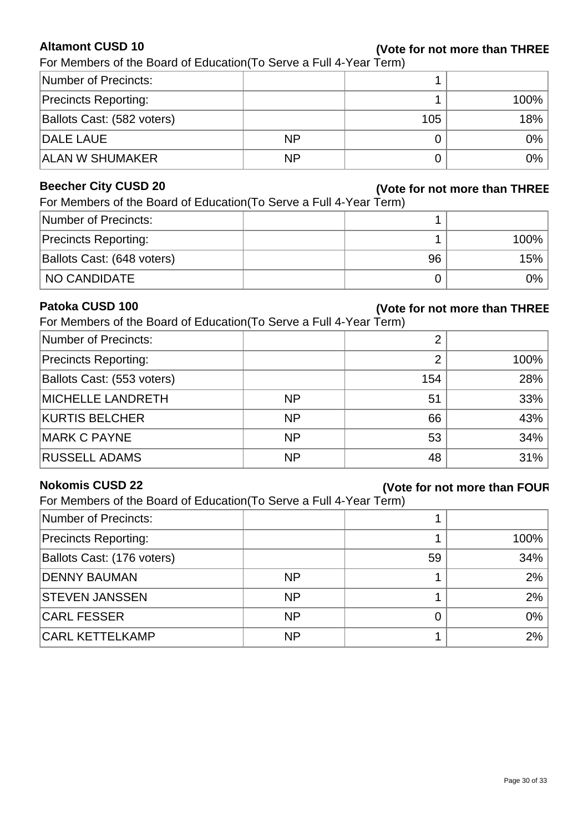#### **Altamont CUSD 10**

#### **(Vote for not more than THREE)**

For Members of the Board of Education(To Serve a Full 4-Year Term)

| Number of Precincts:        |           |     |       |
|-----------------------------|-----------|-----|-------|
| <b>Precincts Reporting:</b> |           |     | 100%  |
| Ballots Cast: (582 voters)  |           | 105 | 18%   |
| <b>DALE LAUE</b>            | <b>NP</b> |     | $0\%$ |
| <b>ALAN W SHUMAKER</b>      | <b>NP</b> |     | $0\%$ |

#### **Beecher City CUSD 20**

#### **(Vote for not more than THREE)**

H,

| For Members of the Board of Education (To Serve a Full 4-Year Term) |  |  |  |  |
|---------------------------------------------------------------------|--|--|--|--|
| $\blacksquare$ Numher of Precincts:                                 |  |  |  |  |

| Number of Precincts:        |    |         |
|-----------------------------|----|---------|
| <b>Precincts Reporting:</b> |    | $100\%$ |
| Ballots Cast: (648 voters)  | 96 | 15%     |
| <b>NO CANDIDATE</b>         |    | 0%      |

#### **Patoka CUSD 100**

# **(Vote for not more than THREE)**

For Members of the Board of Education(To Serve a Full 4-Year Term)

| Number of Precincts:        |           | റ   |      |
|-----------------------------|-----------|-----|------|
| <b>Precincts Reporting:</b> |           | ◠   | 100% |
| Ballots Cast: (553 voters)  |           | 154 | 28%  |
| <b>MICHELLE LANDRETH</b>    | <b>NP</b> | 51  | 33%  |
| <b>KURTIS BELCHER</b>       | <b>NP</b> | 66  | 43%  |
| MARK C PAYNE                | <b>NP</b> | 53  | 34%  |
| <b>RUSSELL ADAMS</b>        | <b>NP</b> | 48  | 31%  |

#### **Nokomis CUSD 22**

#### **(Vote for not more than FOUR)**

For Members of the Board of Education(To Serve a Full 4-Year Term)

|           |    | 100%   |
|-----------|----|--------|
|           | 59 | $34\%$ |
| <b>NP</b> |    | $2\%$  |
| <b>NP</b> |    | $2\%$  |
| <b>NP</b> |    | $0\%$  |
| <b>NP</b> |    | $2\%$  |
|           |    |        |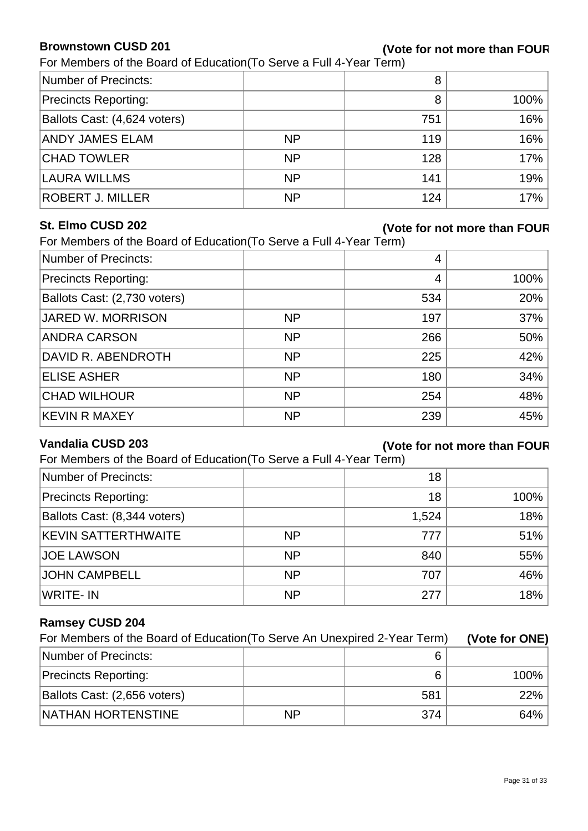#### **Brownstown CUSD 201**

#### **(Vote for not more than FOUR)**

For Members of the Board of Education (To Serve a Full 4-Year Term)

| Number of Precincts:         |           | 8   |      |
|------------------------------|-----------|-----|------|
| <b>Precincts Reporting:</b>  |           | 8   | 100% |
| Ballots Cast: (4,624 voters) |           | 751 | 16%  |
| <b>ANDY JAMES ELAM</b>       | <b>NP</b> | 119 | 16%  |
| <b>CHAD TOWLER</b>           | <b>NP</b> | 128 | 17%  |
| LAURA WILLMS                 | <b>NP</b> | 141 | 19%  |
| <b>ROBERT J. MILLER</b>      | <b>NP</b> | 124 | 17%  |

#### **St. Elmo CUSD 202**

#### **(Vote for not more than FOUR)**

For Members of the Board of Education(To Serve a Full 4-Year Term)

| Number of Precincts:         |           | 4   |      |
|------------------------------|-----------|-----|------|
| <b>Precincts Reporting:</b>  |           | 4   | 100% |
| Ballots Cast: (2,730 voters) |           | 534 | 20%  |
| JARED W. MORRISON            | <b>NP</b> | 197 | 37%  |
| <b>ANDRA CARSON</b>          | <b>NP</b> | 266 | 50%  |
| DAVID R. ABENDROTH           | <b>NP</b> | 225 | 42%  |
| <b>ELISE ASHER</b>           | <b>NP</b> | 180 | 34%  |
| <b>CHAD WILHOUR</b>          | <b>NP</b> | 254 | 48%  |
| <b>KEVIN R MAXEY</b>         | <b>NP</b> | 239 | 45%  |

#### **Vandalia CUSD 203**

#### **(Vote for not more than FOUR)**

For Members of the Board of Education (To Serve a Full 4-Year Term)

| Number of Precincts:         |           | 18    |        |
|------------------------------|-----------|-------|--------|
| <b>Precincts Reporting:</b>  |           | 18    | 100%   |
| Ballots Cast: (8,344 voters) |           | 1,524 | 18%    |
| <b>KEVIN SATTERTHWAITE</b>   | <b>NP</b> | 777   | 51%    |
| <b>JOE LAWSON</b>            | <b>NP</b> | 840   | 55%    |
| JOHN CAMPBELL                | <b>NP</b> | 707   | $46\%$ |
| WRITE-IN                     | <b>NP</b> | 277   | 18%    |

#### **Ramsey CUSD 204**

| For Members of the Board of Education (To Serve An Unexpired 2-Year Term) |           |     | (Vote for ONE) |
|---------------------------------------------------------------------------|-----------|-----|----------------|
| Number of Precincts:                                                      |           | 6   |                |
| <b>Precincts Reporting:</b>                                               |           | 6   | 100%           |
| Ballots Cast: (2,656 voters)                                              |           | 581 | 22%            |
| NATHAN HORTENSTINE                                                        | <b>NP</b> | 374 | 64%            |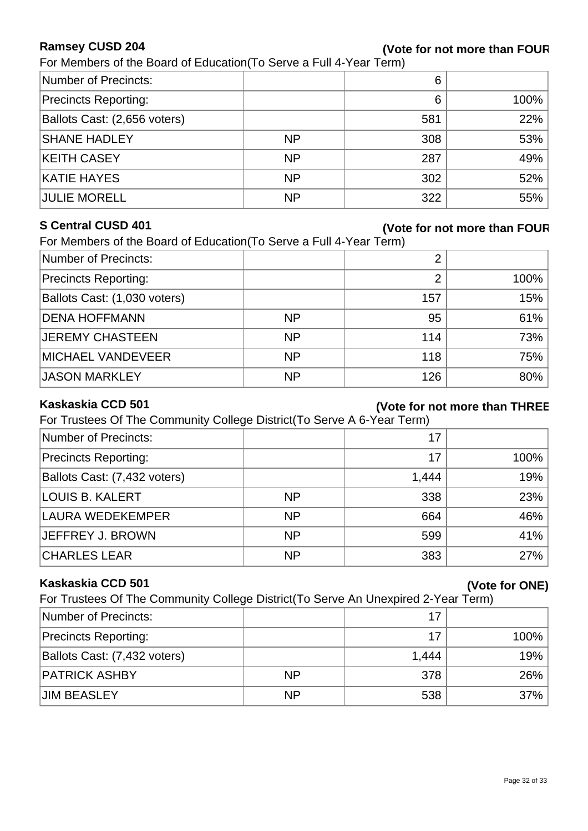#### **Ramsey CUSD 204**

#### **(Vote for not more than FOUR)**

For Members of the Board of Education(To Serve a Full 4-Year Term)

| Number of Precincts:         |           | 6   |      |
|------------------------------|-----------|-----|------|
| <b>Precincts Reporting:</b>  |           | 6   | 100% |
| Ballots Cast: (2,656 voters) |           | 581 | 22%  |
| <b>SHANE HADLEY</b>          | <b>NP</b> | 308 | 53%  |
| <b>KEITH CASEY</b>           | <b>NP</b> | 287 | 49%  |
| <b>KATIE HAYES</b>           | <b>NP</b> | 302 | 52%  |
| <b>JULIE MORELL</b>          | <b>NP</b> | 322 | 55%  |

#### **S Central CUSD 401**

#### **(Vote for not more than FOUR)**

| For Members of the Board of Education (To Serve a Full 4-Year Term) |  |
|---------------------------------------------------------------------|--|
|                                                                     |  |

| Number of Precincts:         |           | 2   |      |
|------------------------------|-----------|-----|------|
| <b>Precincts Reporting:</b>  |           | ⌒   | 100% |
| Ballots Cast: (1,030 voters) |           | 157 | 15%  |
| <b>DENA HOFFMANN</b>         | <b>NP</b> | 95  | 61%  |
| <b>JEREMY CHASTEEN</b>       | <b>NP</b> | 114 | 73%  |
| <b>MICHAEL VANDEVEER</b>     | <b>NP</b> | 118 | 75%  |
| <b>JASON MARKLEY</b>         | <b>NP</b> | 126 | 80%  |

#### **Kaskaskia CCD 501**

#### **(Vote for not more than THREE)**

For Trustees Of The Community College District(To Serve A 6-Year Term)

| Number of Precincts:         |           | 17    |        |
|------------------------------|-----------|-------|--------|
| <b>Precincts Reporting:</b>  |           | 17    | 100%   |
| Ballots Cast: (7,432 voters) |           | 1,444 | 19%    |
| LOUIS B. KALERT              | <b>NP</b> | 338   | 23%    |
| LAURA WEDEKEMPER             | <b>NP</b> | 664   | $46\%$ |
| JEFFREY J. BROWN             | <b>NP</b> | 599   | 41%    |
| <b>CHARLES LEAR</b>          | <b>NP</b> | 383   | 27%    |

#### **Kaskaskia CCD 501**

For Trustees Of The Community College District(To Serve An Unexpired 2-Year Term)

| Number of Precincts:         |           | 17    |         |
|------------------------------|-----------|-------|---------|
| <b>Precincts Reporting:</b>  |           | 17    | $100\%$ |
| Ballots Cast: (7,432 voters) |           | 1,444 | 19%     |
| <b>PATRICK ASHBY</b>         | <b>NP</b> | 378   | 26%     |
| <b>JIM BEASLEY</b>           | <b>NP</b> | 538   | $37\%$  |

**(Vote for ONE)**